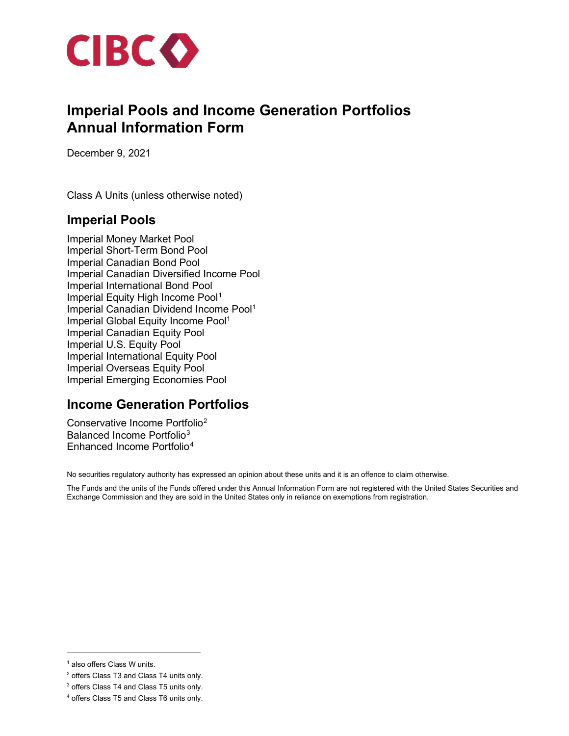

# **Imperial Pools and Income Generation Portfolios Annual Information Form**

December 9, 2021

Class A Units (unless otherwise noted)

## **Imperial Pools**

<span id="page-0-0"></span>Imperial Money Market Pool Imperial Short-Term Bond Pool Imperial Canadian Bond Pool Imperial Canadian Diversified Income Pool Imperial International Bond Pool Imperial Equity High Income Pool<sup>[1](#page-0-1)</sup> Imperial Canadian Dividend Income Pool<sup>1</sup> Imperial Global Equity Income Pool<sup>1</sup> Imperial Canadian Equity Pool Imperial U.S. Equity Pool Imperial International Equity Pool Imperial Overseas Equity Pool Imperial Emerging Economies Pool

## **Income Generation Portfolios**

Conservative Income Portfolio[2](#page-0-2) Balanced Income Portfolio<sup>[3](#page-0-3)</sup> Enhanced Income Portfolio[4](#page-0-4)

No securities regulatory authority has expressed an opinion about these units and it is an offence to claim otherwise.

The Funds and the units of the Funds offered under this Annual Information Form are not registered with the United States Securities and Exchange Commission and they are sold in the United States only in reliance on exemptions from registration.

<span id="page-0-1"></span><sup>&</sup>lt;sup>1</sup> also offers Class W units.

<span id="page-0-2"></span><sup>2</sup> offers Class T3 and Class T4 units only.

<span id="page-0-3"></span><sup>3</sup> offers Class T4 and Class T5 units only.

<span id="page-0-4"></span><sup>4</sup> offers Class T5 and Class T6 units only.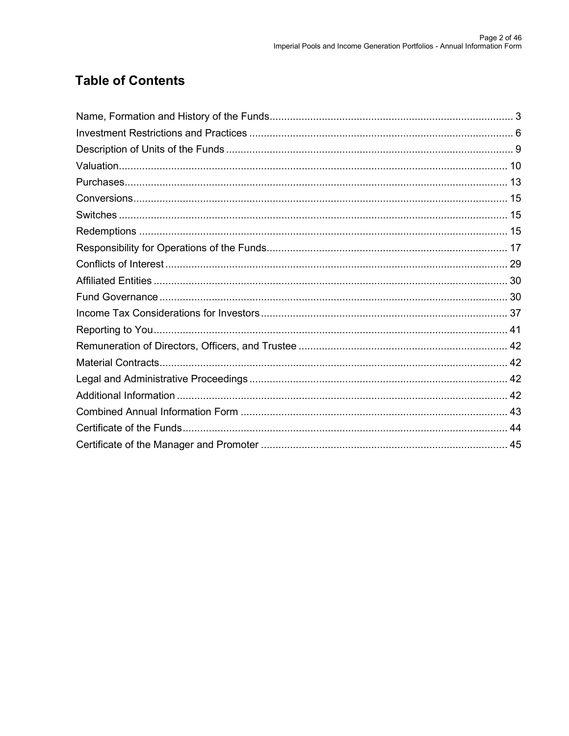# **Table of Contents**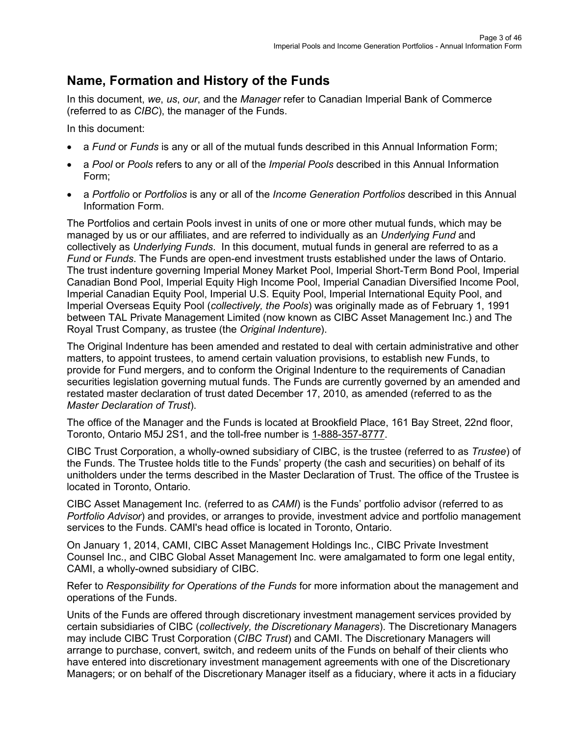# <span id="page-2-0"></span>**Name, Formation and History of the Funds**

In this document, *we*, *us*, *our*, and the *Manager* refer to Canadian Imperial Bank of Commerce (referred to as *CIBC*), the manager of the Funds.

In this document:

- a *Fund* or *Funds* is any or all of the mutual funds described in this Annual Information Form;
- a *Pool* or *Pools* refers to any or all of the *Imperial Pools* described in this Annual Information Form;
- a *Portfolio* or *Portfolios* is any or all of the *Income Generation Portfolios* described in this Annual Information Form.

The Portfolios and certain Pools invest in units of one or more other mutual funds, which may be managed by us or our affiliates, and are referred to individually as an *Underlying Fund* and collectively as *Underlying Funds*. In this document, mutual funds in general are referred to as a *Fund* or *Funds*. The Funds are open-end investment trusts established under the laws of Ontario. The trust indenture governing Imperial Money Market Pool, Imperial Short-Term Bond Pool, Imperial Canadian Bond Pool, Imperial Equity High Income Pool, Imperial Canadian Diversified Income Pool, Imperial Canadian Equity Pool, Imperial U.S. Equity Pool, Imperial International Equity Pool, and Imperial Overseas Equity Pool (*collectively, the Pools*) was originally made as of February 1, 1991 between TAL Private Management Limited (now known as CIBC Asset Management Inc.) and The Royal Trust Company, as trustee (the *Original Indenture*).

The Original Indenture has been amended and restated to deal with certain administrative and other matters, to appoint trustees, to amend certain valuation provisions, to establish new Funds, to provide for Fund mergers, and to conform the Original Indenture to the requirements of Canadian securities legislation governing mutual funds. The Funds are currently governed by an amended and restated master declaration of trust dated December 17, 2010, as amended (referred to as the *Master Declaration of Trust*).

The office of the Manager and the Funds is located at Brookfield Place, 161 Bay Street, 22nd floor, Toronto, Ontario M5J 2S1, and the toll-free number is [1-888-357-8777.](tel:18883578777)

CIBC Trust Corporation, a wholly-owned subsidiary of CIBC, is the trustee (referred to as *Trustee*) of the Funds. The Trustee holds title to the Funds' property (the cash and securities) on behalf of its unitholders under the terms described in the Master Declaration of Trust. The office of the Trustee is located in Toronto, Ontario.

CIBC Asset Management Inc. (referred to as *CAMI*) is the Funds' portfolio advisor (referred to as *Portfolio Advisor*) and provides, or arranges to provide, investment advice and portfolio management services to the Funds. CAMI's head office is located in Toronto, Ontario.

On January 1, 2014, CAMI, CIBC Asset Management Holdings Inc., CIBC Private Investment Counsel Inc., and CIBC Global Asset Management Inc. were amalgamated to form one legal entity, CAMI, a wholly-owned subsidiary of CIBC.

Refer to *Responsibility for Operations of the Funds* for more information about the management and operations of the Funds.

Units of the Funds are offered through discretionary investment management services provided by certain subsidiaries of CIBC (*collectively, the Discretionary Managers*). The Discretionary Managers may include CIBC Trust Corporation (*CIBC Trust*) and CAMI. The Discretionary Managers will arrange to purchase, convert, switch, and redeem units of the Funds on behalf of their clients who have entered into discretionary investment management agreements with one of the Discretionary Managers; or on behalf of the Discretionary Manager itself as a fiduciary, where it acts in a fiduciary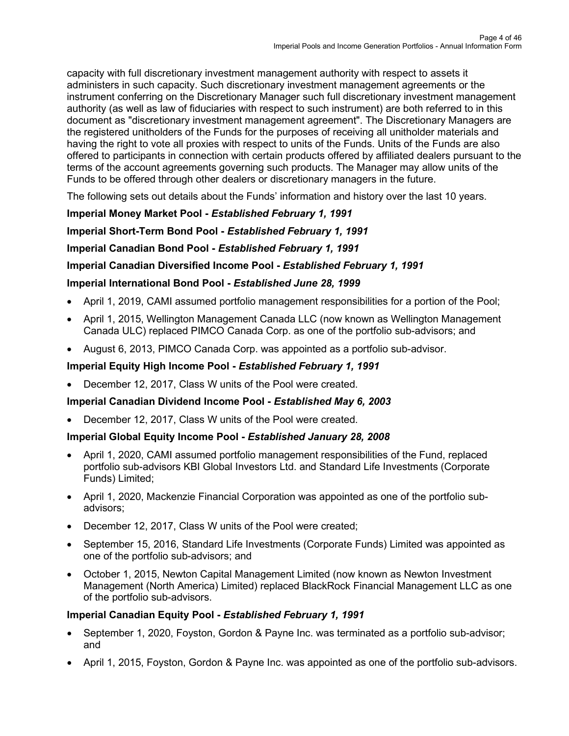capacity with full discretionary investment management authority with respect to assets it administers in such capacity. Such discretionary investment management agreements or the instrument conferring on the Discretionary Manager such full discretionary investment management authority (as well as law of fiduciaries with respect to such instrument) are both referred to in this document as "discretionary investment management agreement". The Discretionary Managers are the registered unitholders of the Funds for the purposes of receiving all unitholder materials and having the right to vote all proxies with respect to units of the Funds. Units of the Funds are also offered to participants in connection with certain products offered by affiliated dealers pursuant to the terms of the account agreements governing such products. The Manager may allow units of the Funds to be offered through other dealers or discretionary managers in the future.

The following sets out details about the Funds' information and history over the last 10 years.

## **Imperial Money Market Pool -** *Established February 1, 1991*

## **Imperial Short-Term Bond Pool -** *Established February 1, 1991*

## **Imperial Canadian Bond Pool -** *Established February 1, 1991*

## **Imperial Canadian Diversified Income Pool -** *Established February 1, 1991*

## **Imperial International Bond Pool -** *Established June 28, 1999*

- April 1, 2019, CAMI assumed portfolio management responsibilities for a portion of the Pool;
- April 1, 2015, Wellington Management Canada LLC (now known as Wellington Management Canada ULC) replaced PIMCO Canada Corp. as one of the portfolio sub-advisors; and
- August 6, 2013, PIMCO Canada Corp. was appointed as a portfolio sub-advisor.

## **Imperial Equity High Income Pool -** *Established February 1, 1991*

• December 12, 2017, Class W units of the Pool were created.

## **Imperial Canadian Dividend Income Pool -** *Established May 6, 2003*

• December 12, 2017, Class W units of the Pool were created.

## **Imperial Global Equity Income Pool -** *Established January 28, 2008*

- April 1, 2020, CAMI assumed portfolio management responsibilities of the Fund, replaced portfolio sub-advisors KBI Global Investors Ltd. and Standard Life Investments (Corporate Funds) Limited;
- April 1, 2020, Mackenzie Financial Corporation was appointed as one of the portfolio subadvisors;
- December 12, 2017, Class W units of the Pool were created;
- September 15, 2016, Standard Life Investments (Corporate Funds) Limited was appointed as one of the portfolio sub-advisors; and
- October 1, 2015, Newton Capital Management Limited (now known as Newton Investment Management (North America) Limited) replaced BlackRock Financial Management LLC as one of the portfolio sub-advisors.

## **Imperial Canadian Equity Pool -** *Established February 1, 1991*

- September 1, 2020, Foyston, Gordon & Payne Inc. was terminated as a portfolio sub-advisor; and
- April 1, 2015, Foyston, Gordon & Payne Inc. was appointed as one of the portfolio sub-advisors.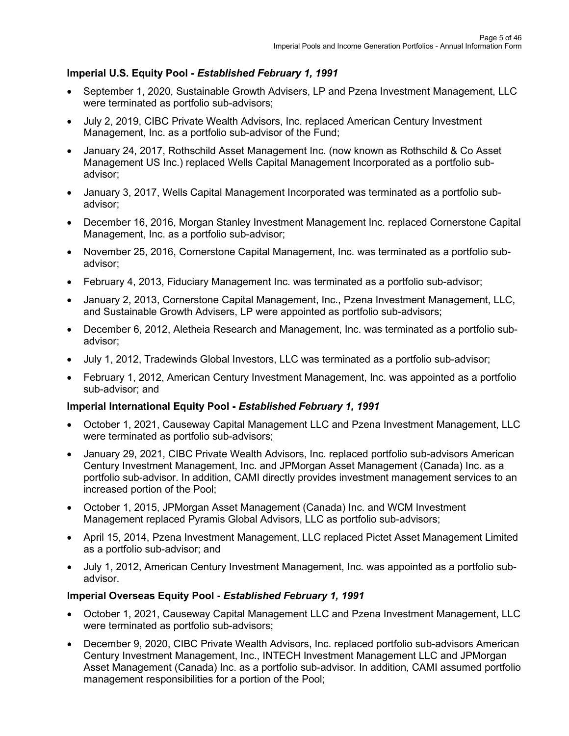#### **Imperial U.S. Equity Pool -** *Established February 1, 1991*

- September 1, 2020, Sustainable Growth Advisers, LP and Pzena Investment Management, LLC were terminated as portfolio sub-advisors;
- July 2, 2019, CIBC Private Wealth Advisors, Inc. replaced American Century Investment Management, Inc. as a portfolio sub-advisor of the Fund;
- January 24, 2017, Rothschild Asset Management Inc. (now known as Rothschild & Co Asset Management US Inc.) replaced Wells Capital Management Incorporated as a portfolio subadvisor;
- January 3, 2017, Wells Capital Management Incorporated was terminated as a portfolio subadvisor;
- December 16, 2016, Morgan Stanley Investment Management Inc. replaced Cornerstone Capital Management, Inc. as a portfolio sub-advisor;
- November 25, 2016, Cornerstone Capital Management, Inc. was terminated as a portfolio subadvisor;
- February 4, 2013, Fiduciary Management Inc. was terminated as a portfolio sub-advisor;
- January 2, 2013, Cornerstone Capital Management, Inc., Pzena Investment Management, LLC, and Sustainable Growth Advisers, LP were appointed as portfolio sub-advisors;
- December 6, 2012, Aletheia Research and Management, Inc. was terminated as a portfolio subadvisor;
- July 1, 2012, Tradewinds Global Investors, LLC was terminated as a portfolio sub-advisor;
- February 1, 2012, American Century Investment Management, Inc. was appointed as a portfolio sub-advisor; and

#### **Imperial International Equity Pool -** *Established February 1, 1991*

- October 1, 2021, Causeway Capital Management LLC and Pzena Investment Management, LLC were terminated as portfolio sub-advisors;
- January 29, 2021, CIBC Private Wealth Advisors, Inc. replaced portfolio sub-advisors American Century Investment Management, Inc. and JPMorgan Asset Management (Canada) Inc. as a portfolio sub-advisor. In addition, CAMI directly provides investment management services to an increased portion of the Pool;
- October 1, 2015, JPMorgan Asset Management (Canada) Inc. and WCM Investment Management replaced Pyramis Global Advisors, LLC as portfolio sub-advisors;
- April 15, 2014, Pzena Investment Management, LLC replaced Pictet Asset Management Limited as a portfolio sub-advisor; and
- July 1, 2012, American Century Investment Management, Inc. was appointed as a portfolio subadvisor.

#### **Imperial Overseas Equity Pool -** *Established February 1, 1991*

- October 1, 2021, Causeway Capital Management LLC and Pzena Investment Management, LLC were terminated as portfolio sub-advisors;
- December 9, 2020, CIBC Private Wealth Advisors, Inc. replaced portfolio sub-advisors American Century Investment Management, Inc., INTECH Investment Management LLC and JPMorgan Asset Management (Canada) Inc. as a portfolio sub-advisor. In addition, CAMI assumed portfolio management responsibilities for a portion of the Pool;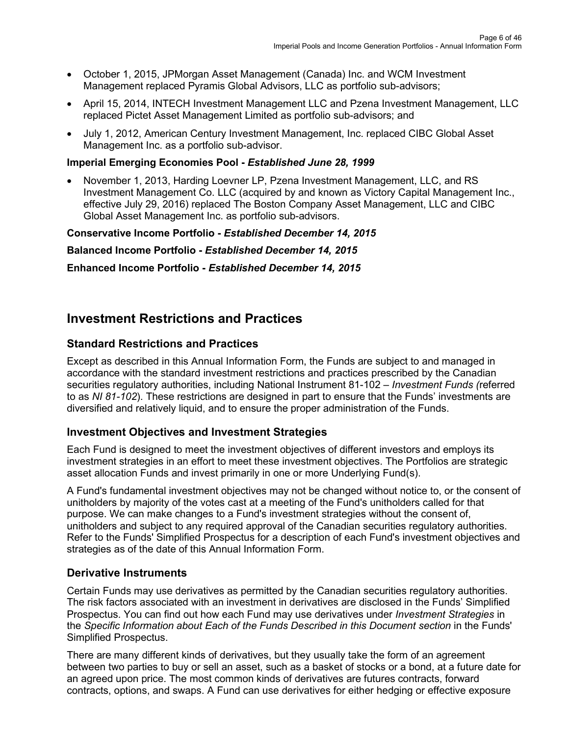- October 1, 2015, JPMorgan Asset Management (Canada) Inc. and WCM Investment Management replaced Pyramis Global Advisors, LLC as portfolio sub-advisors;
- April 15, 2014, INTECH Investment Management LLC and Pzena Investment Management, LLC replaced Pictet Asset Management Limited as portfolio sub-advisors; and
- July 1, 2012, American Century Investment Management, Inc. replaced CIBC Global Asset Management Inc. as a portfolio sub-advisor.

#### **Imperial Emerging Economies Pool -** *Established June 28, 1999*

• November 1, 2013, Harding Loevner LP, Pzena Investment Management, LLC, and RS Investment Management Co. LLC (acquired by and known as Victory Capital Management Inc., effective July 29, 2016) replaced The Boston Company Asset Management, LLC and CIBC Global Asset Management Inc. as portfolio sub-advisors.

#### **Conservative Income Portfolio -** *Established December 14, 2015*

**Balanced Income Portfolio -** *Established December 14, 2015*

**Enhanced Income Portfolio -** *Established December 14, 2015*

## <span id="page-5-0"></span>**Investment Restrictions and Practices**

## **Standard Restrictions and Practices**

Except as described in this Annual Information Form, the Funds are subject to and managed in accordance with the standard investment restrictions and practices prescribed by the Canadian securities regulatory authorities, including National Instrument 81-102 – *Investment Funds (*referred to as *NI 81-102*). These restrictions are designed in part to ensure that the Funds' investments are diversified and relatively liquid, and to ensure the proper administration of the Funds.

## **Investment Objectives and Investment Strategies**

Each Fund is designed to meet the investment objectives of different investors and employs its investment strategies in an effort to meet these investment objectives. The Portfolios are strategic asset allocation Funds and invest primarily in one or more Underlying Fund(s).

A Fund's fundamental investment objectives may not be changed without notice to, or the consent of unitholders by majority of the votes cast at a meeting of the Fund's unitholders called for that purpose. We can make changes to a Fund's investment strategies without the consent of, unitholders and subject to any required approval of the Canadian securities regulatory authorities. Refer to the Funds' Simplified Prospectus for a description of each Fund's investment objectives and strategies as of the date of this Annual Information Form.

## **Derivative Instruments**

Certain Funds may use derivatives as permitted by the Canadian securities regulatory authorities. The risk factors associated with an investment in derivatives are disclosed in the Funds' Simplified Prospectus. You can find out how each Fund may use derivatives under *Investment Strategies* in the *Specific Information about Each of the Funds Described in this Document section* in the Funds' Simplified Prospectus.

There are many different kinds of derivatives, but they usually take the form of an agreement between two parties to buy or sell an asset, such as a basket of stocks or a bond, at a future date for an agreed upon price. The most common kinds of derivatives are futures contracts, forward contracts, options, and swaps. A Fund can use derivatives for either hedging or effective exposure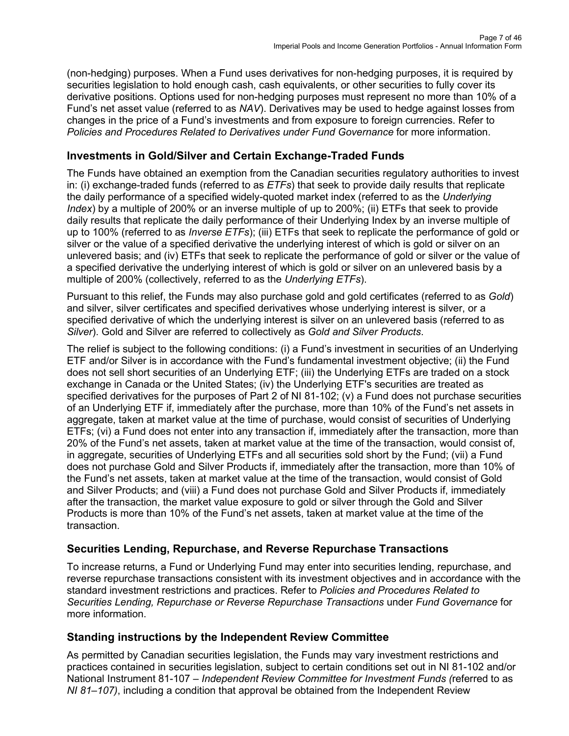(non-hedging) purposes. When a Fund uses derivatives for non-hedging purposes, it is required by securities legislation to hold enough cash, cash equivalents, or other securities to fully cover its derivative positions. Options used for non-hedging purposes must represent no more than 10% of a Fund's net asset value (referred to as *NAV*). Derivatives may be used to hedge against losses from changes in the price of a Fund's investments and from exposure to foreign currencies. Refer to *Policies and Procedures Related to Derivatives under Fund Governance* for more information.

## **Investments in Gold/Silver and Certain Exchange-Traded Funds**

The Funds have obtained an exemption from the Canadian securities regulatory authorities to invest in: (i) exchange-traded funds (referred to as *ETFs*) that seek to provide daily results that replicate the daily performance of a specified widely-quoted market index (referred to as the *Underlying Index*) by a multiple of 200% or an inverse multiple of up to 200%; (ii) ETFs that seek to provide daily results that replicate the daily performance of their Underlying Index by an inverse multiple of up to 100% (referred to as *Inverse ETFs*); (iii) ETFs that seek to replicate the performance of gold or silver or the value of a specified derivative the underlying interest of which is gold or silver on an unlevered basis; and (iv) ETFs that seek to replicate the performance of gold or silver or the value of a specified derivative the underlying interest of which is gold or silver on an unlevered basis by a multiple of 200% (collectively, referred to as the *Underlying ETFs*).

Pursuant to this relief, the Funds may also purchase gold and gold certificates (referred to as *Gold*) and silver, silver certificates and specified derivatives whose underlying interest is silver, or a specified derivative of which the underlying interest is silver on an unlevered basis (referred to as *Silver*). Gold and Silver are referred to collectively as *Gold and Silver Products*.

The relief is subject to the following conditions: (i) a Fund's investment in securities of an Underlying ETF and/or Silver is in accordance with the Fund's fundamental investment objective; (ii) the Fund does not sell short securities of an Underlying ETF; (iii) the Underlying ETFs are traded on a stock exchange in Canada or the United States; (iv) the Underlying ETF's securities are treated as specified derivatives for the purposes of Part 2 of NI 81-102; (v) a Fund does not purchase securities of an Underlying ETF if, immediately after the purchase, more than 10% of the Fund's net assets in aggregate, taken at market value at the time of purchase, would consist of securities of Underlying ETFs; (vi) a Fund does not enter into any transaction if, immediately after the transaction, more than 20% of the Fund's net assets, taken at market value at the time of the transaction, would consist of, in aggregate, securities of Underlying ETFs and all securities sold short by the Fund; (vii) a Fund does not purchase Gold and Silver Products if, immediately after the transaction, more than 10% of the Fund's net assets, taken at market value at the time of the transaction, would consist of Gold and Silver Products; and (viii) a Fund does not purchase Gold and Silver Products if, immediately after the transaction, the market value exposure to gold or silver through the Gold and Silver Products is more than 10% of the Fund's net assets, taken at market value at the time of the transaction.

## **Securities Lending, Repurchase, and Reverse Repurchase Transactions**

To increase returns, a Fund or Underlying Fund may enter into securities lending, repurchase, and reverse repurchase transactions consistent with its investment objectives and in accordance with the standard investment restrictions and practices. Refer to *Policies and Procedures Related to Securities Lending, Repurchase or Reverse Repurchase Transactions* under *Fund Governance* for more information.

## **Standing instructions by the Independent Review Committee**

As permitted by Canadian securities legislation, the Funds may vary investment restrictions and practices contained in securities legislation, subject to certain conditions set out in NI 81-102 and/or National Instrument 81-107 – *Independent Review Committee for Investment Funds (*referred to as *NI 81–107)*, including a condition that approval be obtained from the Independent Review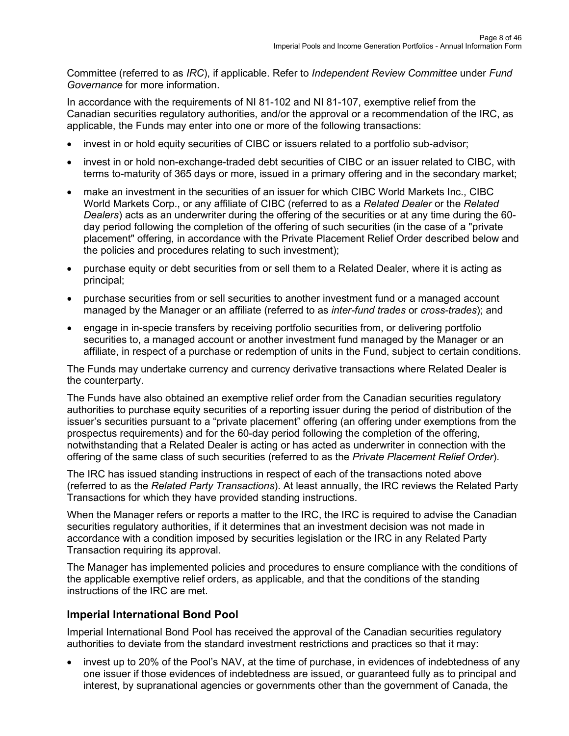Committee (referred to as *IRC*), if applicable. Refer to *Independent Review Committee* under *Fund Governance* for more information.

In accordance with the requirements of NI 81-102 and NI 81-107, exemptive relief from the Canadian securities regulatory authorities, and/or the approval or a recommendation of the IRC, as applicable, the Funds may enter into one or more of the following transactions:

- invest in or hold equity securities of CIBC or issuers related to a portfolio sub-advisor;
- invest in or hold non-exchange-traded debt securities of CIBC or an issuer related to CIBC, with terms to-maturity of 365 days or more, issued in a primary offering and in the secondary market;
- make an investment in the securities of an issuer for which CIBC World Markets Inc., CIBC World Markets Corp., or any affiliate of CIBC (referred to as a *Related Dealer* or the *Related Dealers*) acts as an underwriter during the offering of the securities or at any time during the 60 day period following the completion of the offering of such securities (in the case of a "private placement" offering, in accordance with the Private Placement Relief Order described below and the policies and procedures relating to such investment);
- purchase equity or debt securities from or sell them to a Related Dealer, where it is acting as principal;
- purchase securities from or sell securities to another investment fund or a managed account managed by the Manager or an affiliate (referred to as *inter-fund trades* or *cross-trades*); and
- engage in in-specie transfers by receiving portfolio securities from, or delivering portfolio securities to, a managed account or another investment fund managed by the Manager or an affiliate, in respect of a purchase or redemption of units in the Fund, subject to certain conditions.

The Funds may undertake currency and currency derivative transactions where Related Dealer is the counterparty.

The Funds have also obtained an exemptive relief order from the Canadian securities regulatory authorities to purchase equity securities of a reporting issuer during the period of distribution of the issuer's securities pursuant to a "private placement" offering (an offering under exemptions from the prospectus requirements) and for the 60-day period following the completion of the offering, notwithstanding that a Related Dealer is acting or has acted as underwriter in connection with the offering of the same class of such securities (referred to as the *Private Placement Relief Order*).

The IRC has issued standing instructions in respect of each of the transactions noted above (referred to as the *Related Party Transactions*). At least annually, the IRC reviews the Related Party Transactions for which they have provided standing instructions.

When the Manager refers or reports a matter to the IRC, the IRC is required to advise the Canadian securities regulatory authorities, if it determines that an investment decision was not made in accordance with a condition imposed by securities legislation or the IRC in any Related Party Transaction requiring its approval.

The Manager has implemented policies and procedures to ensure compliance with the conditions of the applicable exemptive relief orders, as applicable, and that the conditions of the standing instructions of the IRC are met.

## **Imperial International Bond Pool**

Imperial International Bond Pool has received the approval of the Canadian securities regulatory authorities to deviate from the standard investment restrictions and practices so that it may:

• invest up to 20% of the Pool's NAV, at the time of purchase, in evidences of indebtedness of any one issuer if those evidences of indebtedness are issued, or guaranteed fully as to principal and interest, by supranational agencies or governments other than the government of Canada, the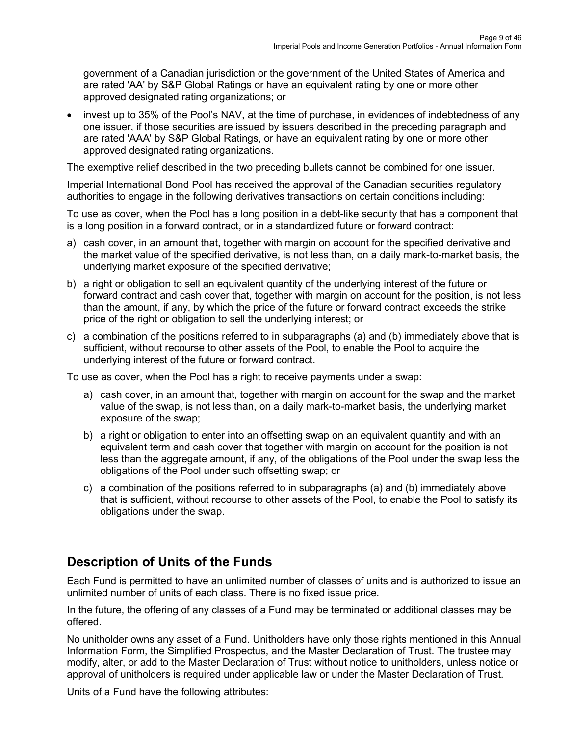government of a Canadian jurisdiction or the government of the United States of America and are rated 'AA' by S&P Global Ratings or have an equivalent rating by one or more other approved designated rating organizations; or

• invest up to 35% of the Pool's NAV, at the time of purchase, in evidences of indebtedness of any one issuer, if those securities are issued by issuers described in the preceding paragraph and are rated 'AAA' by S&P Global Ratings, or have an equivalent rating by one or more other approved designated rating organizations.

The exemptive relief described in the two preceding bullets cannot be combined for one issuer.

Imperial International Bond Pool has received the approval of the Canadian securities regulatory authorities to engage in the following derivatives transactions on certain conditions including:

To use as cover, when the Pool has a long position in a debt-like security that has a component that is a long position in a forward contract, or in a standardized future or forward contract:

- a) cash cover, in an amount that, together with margin on account for the specified derivative and the market value of the specified derivative, is not less than, on a daily mark-to-market basis, the underlying market exposure of the specified derivative;
- b) a right or obligation to sell an equivalent quantity of the underlying interest of the future or forward contract and cash cover that, together with margin on account for the position, is not less than the amount, if any, by which the price of the future or forward contract exceeds the strike price of the right or obligation to sell the underlying interest; or
- c) a combination of the positions referred to in subparagraphs (a) and (b) immediately above that is sufficient, without recourse to other assets of the Pool, to enable the Pool to acquire the underlying interest of the future or forward contract.

To use as cover, when the Pool has a right to receive payments under a swap:

- a) cash cover, in an amount that, together with margin on account for the swap and the market value of the swap, is not less than, on a daily mark-to-market basis, the underlying market exposure of the swap;
- b) a right or obligation to enter into an offsetting swap on an equivalent quantity and with an equivalent term and cash cover that together with margin on account for the position is not less than the aggregate amount, if any, of the obligations of the Pool under the swap less the obligations of the Pool under such offsetting swap; or
- c) a combination of the positions referred to in subparagraphs (a) and (b) immediately above that is sufficient, without recourse to other assets of the Pool, to enable the Pool to satisfy its obligations under the swap.

## <span id="page-8-0"></span>**Description of Units of the Funds**

Each Fund is permitted to have an unlimited number of classes of units and is authorized to issue an unlimited number of units of each class. There is no fixed issue price.

In the future, the offering of any classes of a Fund may be terminated or additional classes may be offered.

No unitholder owns any asset of a Fund. Unitholders have only those rights mentioned in this Annual Information Form, the Simplified Prospectus, and the Master Declaration of Trust. The trustee may modify, alter, or add to the Master Declaration of Trust without notice to unitholders, unless notice or approval of unitholders is required under applicable law or under the Master Declaration of Trust.

Units of a Fund have the following attributes: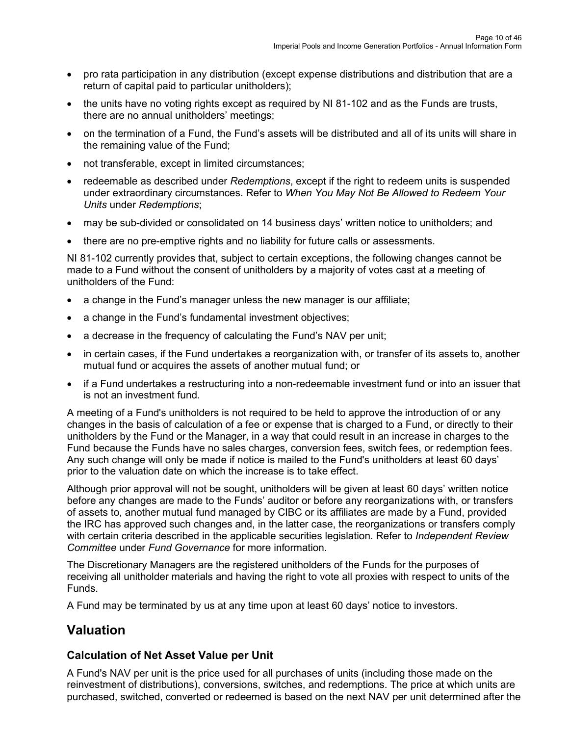- pro rata participation in any distribution (except expense distributions and distribution that are a return of capital paid to particular unitholders);
- the units have no voting rights except as required by NI 81-102 and as the Funds are trusts, there are no annual unitholders' meetings;
- on the termination of a Fund, the Fund's assets will be distributed and all of its units will share in the remaining value of the Fund;
- not transferable, except in limited circumstances;
- redeemable as described under *Redemptions*, except if the right to redeem units is suspended under extraordinary circumstances. Refer to *When You May Not Be Allowed to Redeem Your Units* under *Redemptions*;
- may be sub-divided or consolidated on 14 business days' written notice to unitholders; and
- there are no pre-emptive rights and no liability for future calls or assessments.

NI 81-102 currently provides that, subject to certain exceptions, the following changes cannot be made to a Fund without the consent of unitholders by a majority of votes cast at a meeting of unitholders of the Fund:

- a change in the Fund's manager unless the new manager is our affiliate;
- a change in the Fund's fundamental investment objectives;
- a decrease in the frequency of calculating the Fund's NAV per unit;
- in certain cases, if the Fund undertakes a reorganization with, or transfer of its assets to, another mutual fund or acquires the assets of another mutual fund; or
- if a Fund undertakes a restructuring into a non-redeemable investment fund or into an issuer that is not an investment fund.

A meeting of a Fund's unitholders is not required to be held to approve the introduction of or any changes in the basis of calculation of a fee or expense that is charged to a Fund, or directly to their unitholders by the Fund or the Manager, in a way that could result in an increase in charges to the Fund because the Funds have no sales charges, conversion fees, switch fees, or redemption fees. Any such change will only be made if notice is mailed to the Fund's unitholders at least 60 days' prior to the valuation date on which the increase is to take effect.

Although prior approval will not be sought, unitholders will be given at least 60 days' written notice before any changes are made to the Funds' auditor or before any reorganizations with, or transfers of assets to, another mutual fund managed by CIBC or its affiliates are made by a Fund, provided the IRC has approved such changes and, in the latter case, the reorganizations or transfers comply with certain criteria described in the applicable securities legislation. Refer to *Independent Review Committee* under *Fund Governance* for more information.

The Discretionary Managers are the registered unitholders of the Funds for the purposes of receiving all unitholder materials and having the right to vote all proxies with respect to units of the Funds.

A Fund may be terminated by us at any time upon at least 60 days' notice to investors.

## <span id="page-9-0"></span>**Valuation**

## **Calculation of Net Asset Value per Unit**

A Fund's NAV per unit is the price used for all purchases of units (including those made on the reinvestment of distributions), conversions, switches, and redemptions. The price at which units are purchased, switched, converted or redeemed is based on the next NAV per unit determined after the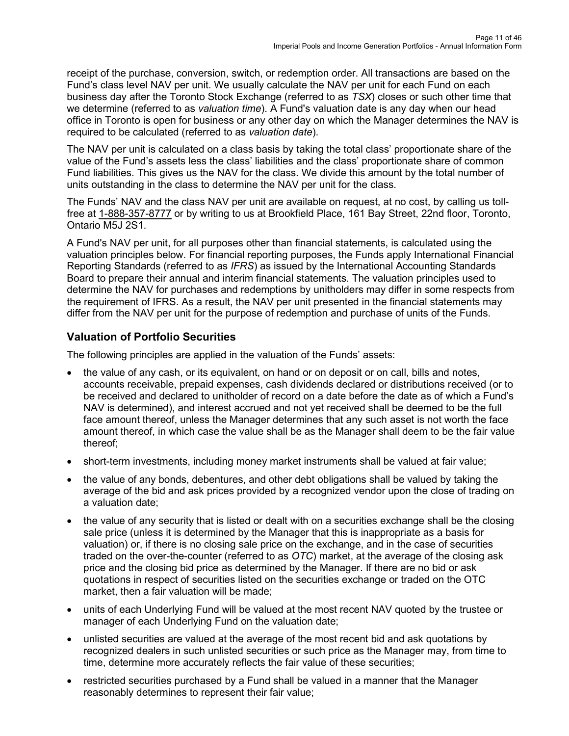receipt of the purchase, conversion, switch, or redemption order. All transactions are based on the Fund's class level NAV per unit. We usually calculate the NAV per unit for each Fund on each business day after the Toronto Stock Exchange (referred to as *TSX*) closes or such other time that we determine (referred to as *valuation time*). A Fund's valuation date is any day when our head office in Toronto is open for business or any other day on which the Manager determines the NAV is required to be calculated (referred to as *valuation date*).

The NAV per unit is calculated on a class basis by taking the total class' proportionate share of the value of the Fund's assets less the class' liabilities and the class' proportionate share of common Fund liabilities. This gives us the NAV for the class. We divide this amount by the total number of units outstanding in the class to determine the NAV per unit for the class.

The Funds' NAV and the class NAV per unit are available on request, at no cost, by calling us tollfree at [1-888-357-8777](tel:18883578777) or by writing to us at Brookfield Place, 161 Bay Street, 22nd floor, Toronto, Ontario M5J 2S1.

A Fund's NAV per unit, for all purposes other than financial statements, is calculated using the valuation principles below. For financial reporting purposes, the Funds apply International Financial Reporting Standards (referred to as *IFRS*) as issued by the International Accounting Standards Board to prepare their annual and interim financial statements. The valuation principles used to determine the NAV for purchases and redemptions by unitholders may differ in some respects from the requirement of IFRS. As a result, the NAV per unit presented in the financial statements may differ from the NAV per unit for the purpose of redemption and purchase of units of the Funds.

## **Valuation of Portfolio Securities**

The following principles are applied in the valuation of the Funds' assets:

- the value of any cash, or its equivalent, on hand or on deposit or on call, bills and notes, accounts receivable, prepaid expenses, cash dividends declared or distributions received (or to be received and declared to unitholder of record on a date before the date as of which a Fund's NAV is determined), and interest accrued and not yet received shall be deemed to be the full face amount thereof, unless the Manager determines that any such asset is not worth the face amount thereof, in which case the value shall be as the Manager shall deem to be the fair value thereof;
- short-term investments, including money market instruments shall be valued at fair value;
- the value of any bonds, debentures, and other debt obligations shall be valued by taking the average of the bid and ask prices provided by a recognized vendor upon the close of trading on a valuation date;
- the value of any security that is listed or dealt with on a securities exchange shall be the closing sale price (unless it is determined by the Manager that this is inappropriate as a basis for valuation) or, if there is no closing sale price on the exchange, and in the case of securities traded on the over-the-counter (referred to as *OTC*) market, at the average of the closing ask price and the closing bid price as determined by the Manager. If there are no bid or ask quotations in respect of securities listed on the securities exchange or traded on the OTC market, then a fair valuation will be made;
- units of each Underlying Fund will be valued at the most recent NAV quoted by the trustee or manager of each Underlying Fund on the valuation date;
- unlisted securities are valued at the average of the most recent bid and ask quotations by recognized dealers in such unlisted securities or such price as the Manager may, from time to time, determine more accurately reflects the fair value of these securities;
- restricted securities purchased by a Fund shall be valued in a manner that the Manager reasonably determines to represent their fair value;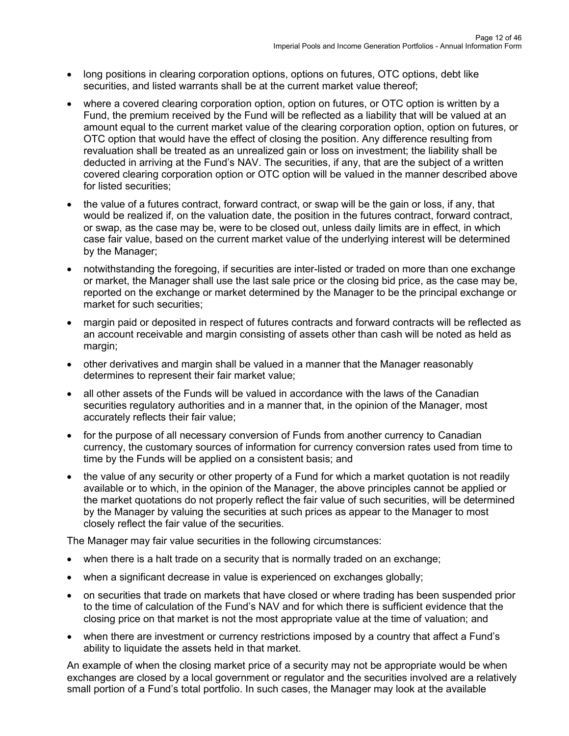- long positions in clearing corporation options, options on futures, OTC options, debt like securities, and listed warrants shall be at the current market value thereof;
- where a covered clearing corporation option, option on futures, or OTC option is written by a Fund, the premium received by the Fund will be reflected as a liability that will be valued at an amount equal to the current market value of the clearing corporation option, option on futures, or OTC option that would have the effect of closing the position. Any difference resulting from revaluation shall be treated as an unrealized gain or loss on investment; the liability shall be deducted in arriving at the Fund's NAV. The securities, if any, that are the subject of a written covered clearing corporation option or OTC option will be valued in the manner described above for listed securities;
- the value of a futures contract, forward contract, or swap will be the gain or loss, if any, that would be realized if, on the valuation date, the position in the futures contract, forward contract, or swap, as the case may be, were to be closed out, unless daily limits are in effect, in which case fair value, based on the current market value of the underlying interest will be determined by the Manager;
- notwithstanding the foregoing, if securities are inter-listed or traded on more than one exchange or market, the Manager shall use the last sale price or the closing bid price, as the case may be, reported on the exchange or market determined by the Manager to be the principal exchange or market for such securities;
- margin paid or deposited in respect of futures contracts and forward contracts will be reflected as an account receivable and margin consisting of assets other than cash will be noted as held as margin;
- other derivatives and margin shall be valued in a manner that the Manager reasonably determines to represent their fair market value;
- all other assets of the Funds will be valued in accordance with the laws of the Canadian securities regulatory authorities and in a manner that, in the opinion of the Manager, most accurately reflects their fair value;
- for the purpose of all necessary conversion of Funds from another currency to Canadian currency, the customary sources of information for currency conversion rates used from time to time by the Funds will be applied on a consistent basis; and
- the value of any security or other property of a Fund for which a market quotation is not readily available or to which, in the opinion of the Manager, the above principles cannot be applied or the market quotations do not properly reflect the fair value of such securities, will be determined by the Manager by valuing the securities at such prices as appear to the Manager to most closely reflect the fair value of the securities.

The Manager may fair value securities in the following circumstances:

- when there is a halt trade on a security that is normally traded on an exchange;
- when a significant decrease in value is experienced on exchanges globally;
- on securities that trade on markets that have closed or where trading has been suspended prior to the time of calculation of the Fund's NAV and for which there is sufficient evidence that the closing price on that market is not the most appropriate value at the time of valuation; and
- when there are investment or currency restrictions imposed by a country that affect a Fund's ability to liquidate the assets held in that market.

An example of when the closing market price of a security may not be appropriate would be when exchanges are closed by a local government or regulator and the securities involved are a relatively small portion of a Fund's total portfolio. In such cases, the Manager may look at the available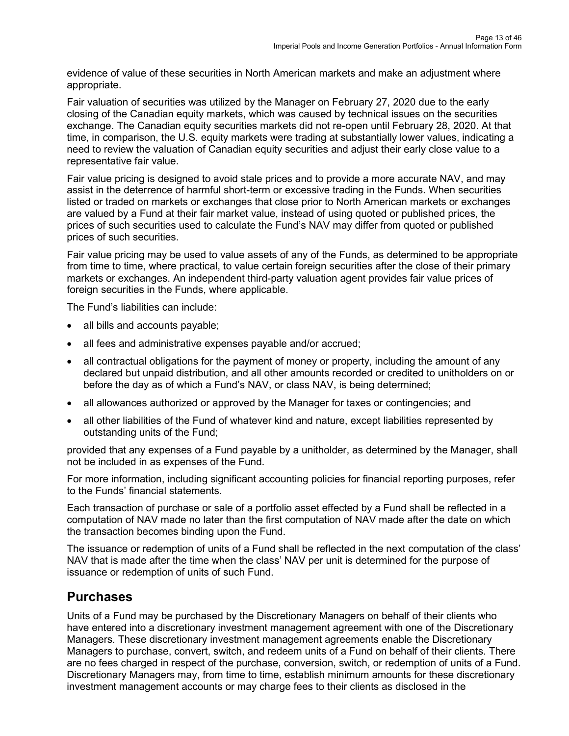evidence of value of these securities in North American markets and make an adjustment where appropriate.

Fair valuation of securities was utilized by the Manager on February 27, 2020 due to the early closing of the Canadian equity markets, which was caused by technical issues on the securities exchange. The Canadian equity securities markets did not re-open until February 28, 2020. At that time, in comparison, the U.S. equity markets were trading at substantially lower values, indicating a need to review the valuation of Canadian equity securities and adjust their early close value to a representative fair value.

Fair value pricing is designed to avoid stale prices and to provide a more accurate NAV, and may assist in the deterrence of harmful short-term or excessive trading in the Funds. When securities listed or traded on markets or exchanges that close prior to North American markets or exchanges are valued by a Fund at their fair market value, instead of using quoted or published prices, the prices of such securities used to calculate the Fund's NAV may differ from quoted or published prices of such securities.

Fair value pricing may be used to value assets of any of the Funds, as determined to be appropriate from time to time, where practical, to value certain foreign securities after the close of their primary markets or exchanges. An independent third-party valuation agent provides fair value prices of foreign securities in the Funds, where applicable.

The Fund's liabilities can include:

- all bills and accounts payable;
- all fees and administrative expenses payable and/or accrued;
- all contractual obligations for the payment of money or property, including the amount of any declared but unpaid distribution, and all other amounts recorded or credited to unitholders on or before the day as of which a Fund's NAV, or class NAV, is being determined;
- all allowances authorized or approved by the Manager for taxes or contingencies; and
- all other liabilities of the Fund of whatever kind and nature, except liabilities represented by outstanding units of the Fund;

provided that any expenses of a Fund payable by a unitholder, as determined by the Manager, shall not be included in as expenses of the Fund.

For more information, including significant accounting policies for financial reporting purposes, refer to the Funds' financial statements.

Each transaction of purchase or sale of a portfolio asset effected by a Fund shall be reflected in a computation of NAV made no later than the first computation of NAV made after the date on which the transaction becomes binding upon the Fund.

The issuance or redemption of units of a Fund shall be reflected in the next computation of the class' NAV that is made after the time when the class' NAV per unit is determined for the purpose of issuance or redemption of units of such Fund.

## <span id="page-12-0"></span>**Purchases**

Units of a Fund may be purchased by the Discretionary Managers on behalf of their clients who have entered into a discretionary investment management agreement with one of the Discretionary Managers. These discretionary investment management agreements enable the Discretionary Managers to purchase, convert, switch, and redeem units of a Fund on behalf of their clients. There are no fees charged in respect of the purchase, conversion, switch, or redemption of units of a Fund. Discretionary Managers may, from time to time, establish minimum amounts for these discretionary investment management accounts or may charge fees to their clients as disclosed in the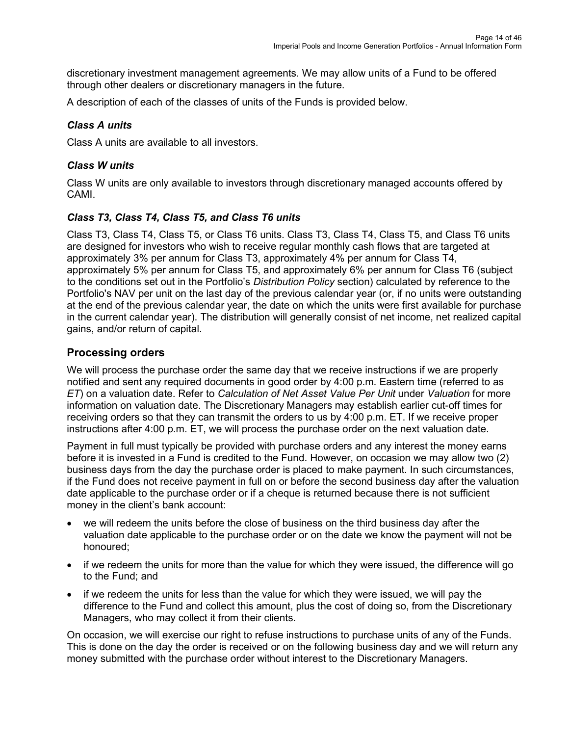discretionary investment management agreements. We may allow units of a Fund to be offered through other dealers or discretionary managers in the future.

A description of each of the classes of units of the Funds is provided below.

## *Class A units*

Class A units are available to all investors.

## *Class W units*

Class W units are only available to investors through discretionary managed accounts offered by **CAMI** 

## *Class T3, Class T4, Class T5, and Class T6 units*

Class T3, Class T4, Class T5, or Class T6 units. Class T3, Class T4, Class T5, and Class T6 units are designed for investors who wish to receive regular monthly cash flows that are targeted at approximately 3% per annum for Class T3, approximately 4% per annum for Class T4, approximately 5% per annum for Class T5, and approximately 6% per annum for Class T6 (subject to the conditions set out in the Portfolio's *Distribution Policy* section) calculated by reference to the Portfolio's NAV per unit on the last day of the previous calendar year (or, if no units were outstanding at the end of the previous calendar year, the date on which the units were first available for purchase in the current calendar year). The distribution will generally consist of net income, net realized capital gains, and/or return of capital.

## **Processing orders**

We will process the purchase order the same day that we receive instructions if we are properly notified and sent any required documents in good order by 4:00 p.m. Eastern time (referred to as *ET*) on a valuation date. Refer to *Calculation of Net Asset Value Per Unit* under *Valuation* for more information on valuation date. The Discretionary Managers may establish earlier cut-off times for receiving orders so that they can transmit the orders to us by 4:00 p.m. ET. If we receive proper instructions after 4:00 p.m. ET, we will process the purchase order on the next valuation date.

Payment in full must typically be provided with purchase orders and any interest the money earns before it is invested in a Fund is credited to the Fund. However, on occasion we may allow two (2) business days from the day the purchase order is placed to make payment. In such circumstances, if the Fund does not receive payment in full on or before the second business day after the valuation date applicable to the purchase order or if a cheque is returned because there is not sufficient money in the client's bank account:

- we will redeem the units before the close of business on the third business day after the valuation date applicable to the purchase order or on the date we know the payment will not be honoured;
- if we redeem the units for more than the value for which they were issued, the difference will go to the Fund; and
- if we redeem the units for less than the value for which they were issued, we will pay the difference to the Fund and collect this amount, plus the cost of doing so, from the Discretionary Managers, who may collect it from their clients.

On occasion, we will exercise our right to refuse instructions to purchase units of any of the Funds. This is done on the day the order is received or on the following business day and we will return any money submitted with the purchase order without interest to the Discretionary Managers.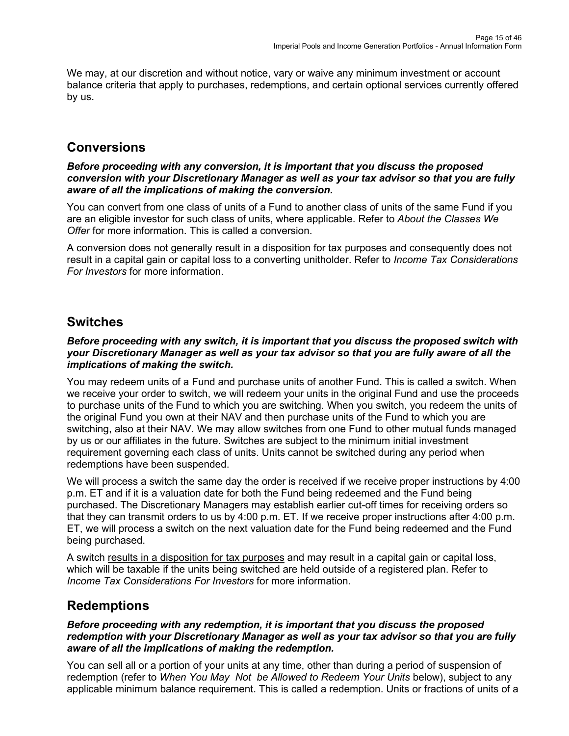We may, at our discretion and without notice, vary or waive any minimum investment or account balance criteria that apply to purchases, redemptions, and certain optional services currently offered by us.

## <span id="page-14-0"></span>**Conversions**

#### *Before proceeding with any conversion, it is important that you discuss the proposed conversion with your Discretionary Manager as well as your tax advisor so that you are fully aware of all the implications of making the conversion.*

You can convert from one class of units of a Fund to another class of units of the same Fund if you are an eligible investor for such class of units, where applicable. Refer to *About the Classes We Offer* for more information. This is called a conversion.

A conversion does not generally result in a disposition for tax purposes and consequently does not result in a capital gain or capital loss to a converting unitholder. Refer to *Income Tax Considerations For Investors* for more information.

## <span id="page-14-1"></span>**Switches**

#### *Before proceeding with any switch, it is important that you discuss the proposed switch with your Discretionary Manager as well as your tax advisor so that you are fully aware of all the implications of making the switch.*

You may redeem units of a Fund and purchase units of another Fund. This is called a switch. When we receive your order to switch, we will redeem your units in the original Fund and use the proceeds to purchase units of the Fund to which you are switching. When you switch, you redeem the units of the original Fund you own at their NAV and then purchase units of the Fund to which you are switching, also at their NAV. We may allow switches from one Fund to other mutual funds managed by us or our affiliates in the future. Switches are subject to the minimum initial investment requirement governing each class of units. Units cannot be switched during any period when redemptions have been suspended.

We will process a switch the same day the order is received if we receive proper instructions by 4:00 p.m. ET and if it is a valuation date for both the Fund being redeemed and the Fund being purchased. The Discretionary Managers may establish earlier cut-off times for receiving orders so that they can transmit orders to us by 4:00 p.m. ET. If we receive proper instructions after 4:00 p.m. ET, we will process a switch on the next valuation date for the Fund being redeemed and the Fund being purchased.

A switch results in a disposition for tax purposes and may result in a capital gain or capital loss, which will be taxable if the units being switched are held outside of a registered plan. Refer to *Income Tax Considerations For Investors* for more information.

## <span id="page-14-2"></span>**Redemptions**

#### *Before proceeding with any redemption, it is important that you discuss the proposed redemption with your Discretionary Manager as well as your tax advisor so that you are fully aware of all the implications of making the redemption.*

You can sell all or a portion of your units at any time, other than during a period of suspension of redemption (refer to *When You May Not be Allowed to Redeem Your Units* below), subject to any applicable minimum balance requirement. This is called a redemption. Units or fractions of units of a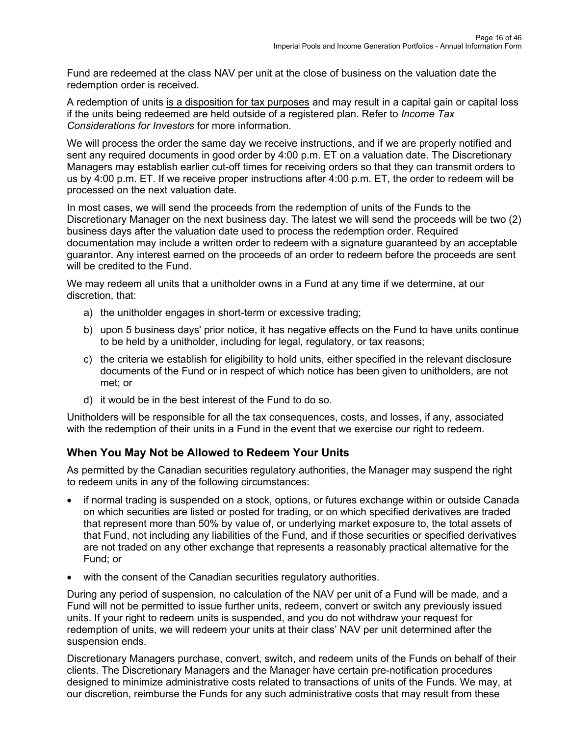Fund are redeemed at the class NAV per unit at the close of business on the valuation date the redemption order is received.

A redemption of units is a disposition for tax purposes and may result in a capital gain or capital loss if the units being redeemed are held outside of a registered plan. Refer to *Income Tax Considerations for Investors* for more information.

We will process the order the same day we receive instructions, and if we are properly notified and sent any required documents in good order by 4:00 p.m. ET on a valuation date. The Discretionary Managers may establish earlier cut-off times for receiving orders so that they can transmit orders to us by 4:00 p.m. ET. If we receive proper instructions after 4:00 p.m. ET, the order to redeem will be processed on the next valuation date.

In most cases, we will send the proceeds from the redemption of units of the Funds to the Discretionary Manager on the next business day. The latest we will send the proceeds will be two (2) business days after the valuation date used to process the redemption order. Required documentation may include a written order to redeem with a signature guaranteed by an acceptable guarantor. Any interest earned on the proceeds of an order to redeem before the proceeds are sent will be credited to the Fund.

We may redeem all units that a unitholder owns in a Fund at any time if we determine, at our discretion, that:

- a) the unitholder engages in short-term or excessive trading;
- b) upon 5 business days' prior notice, it has negative effects on the Fund to have units continue to be held by a unitholder, including for legal, regulatory, or tax reasons;
- c) the criteria we establish for eligibility to hold units, either specified in the relevant disclosure documents of the Fund or in respect of which notice has been given to unitholders, are not met; or
- d) it would be in the best interest of the Fund to do so.

Unitholders will be responsible for all the tax consequences, costs, and losses, if any, associated with the redemption of their units in a Fund in the event that we exercise our right to redeem.

## **When You May Not be Allowed to Redeem Your Units**

As permitted by the Canadian securities regulatory authorities, the Manager may suspend the right to redeem units in any of the following circumstances:

- if normal trading is suspended on a stock, options, or futures exchange within or outside Canada on which securities are listed or posted for trading, or on which specified derivatives are traded that represent more than 50% by value of, or underlying market exposure to, the total assets of that Fund, not including any liabilities of the Fund, and if those securities or specified derivatives are not traded on any other exchange that represents a reasonably practical alternative for the Fund; or
- with the consent of the Canadian securities regulatory authorities.

During any period of suspension, no calculation of the NAV per unit of a Fund will be made, and a Fund will not be permitted to issue further units, redeem, convert or switch any previously issued units. If your right to redeem units is suspended, and you do not withdraw your request for redemption of units, we will redeem your units at their class' NAV per unit determined after the suspension ends.

Discretionary Managers purchase, convert, switch, and redeem units of the Funds on behalf of their clients. The Discretionary Managers and the Manager have certain pre-notification procedures designed to minimize administrative costs related to transactions of units of the Funds. We may, at our discretion, reimburse the Funds for any such administrative costs that may result from these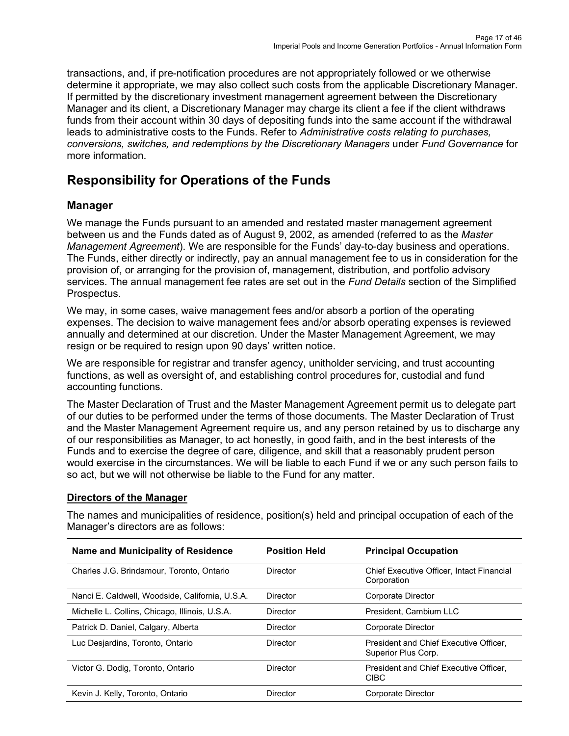transactions, and, if pre-notification procedures are not appropriately followed or we otherwise determine it appropriate, we may also collect such costs from the applicable Discretionary Manager. If permitted by the discretionary investment management agreement between the Discretionary Manager and its client, a Discretionary Manager may charge its client a fee if the client withdraws funds from their account within 30 days of depositing funds into the same account if the withdrawal leads to administrative costs to the Funds. Refer to *Administrative costs relating to purchases, conversions, switches, and redemptions by the Discretionary Managers* under *Fund Governance* for more information.

# <span id="page-16-0"></span>**Responsibility for Operations of the Funds**

## **Manager**

We manage the Funds pursuant to an amended and restated master management agreement between us and the Funds dated as of August 9, 2002, as amended (referred to as the *Master Management Agreement*). We are responsible for the Funds' day-to-day business and operations. The Funds, either directly or indirectly, pay an annual management fee to us in consideration for the provision of, or arranging for the provision of, management, distribution, and portfolio advisory services. The annual management fee rates are set out in the *Fund Details* section of the Simplified Prospectus.

We may, in some cases, waive management fees and/or absorb a portion of the operating expenses. The decision to waive management fees and/or absorb operating expenses is reviewed annually and determined at our discretion. Under the Master Management Agreement, we may resign or be required to resign upon 90 days' written notice.

We are responsible for registrar and transfer agency, unitholder servicing, and trust accounting functions, as well as oversight of, and establishing control procedures for, custodial and fund accounting functions.

The Master Declaration of Trust and the Master Management Agreement permit us to delegate part of our duties to be performed under the terms of those documents. The Master Declaration of Trust and the Master Management Agreement require us, and any person retained by us to discharge any of our responsibilities as Manager, to act honestly, in good faith, and in the best interests of the Funds and to exercise the degree of care, diligence, and skill that a reasonably prudent person would exercise in the circumstances. We will be liable to each Fund if we or any such person fails to so act, but we will not otherwise be liable to the Fund for any matter.

## **Directors of the Manager**

The names and municipalities of residence, position(s) held and principal occupation of each of the Manager's directors are as follows:

| <b>Name and Municipality of Residence</b>       | <b>Position Held</b> | <b>Principal Occupation</b>                                   |
|-------------------------------------------------|----------------------|---------------------------------------------------------------|
| Charles J.G. Brindamour, Toronto, Ontario       | Director             | Chief Executive Officer, Intact Financial<br>Corporation      |
| Nanci E. Caldwell, Woodside, California, U.S.A. | <b>Director</b>      | Corporate Director                                            |
| Michelle L. Collins, Chicago, Illinois, U.S.A.  | Director             | President, Cambium LLC                                        |
| Patrick D. Daniel, Calgary, Alberta             | Director             | Corporate Director                                            |
| Luc Desjardins, Toronto, Ontario                | Director             | President and Chief Executive Officer.<br>Superior Plus Corp. |
| Victor G. Dodig, Toronto, Ontario               | <b>Director</b>      | President and Chief Executive Officer,<br><b>CIBC</b>         |
| Kevin J. Kelly, Toronto, Ontario                | Director             | Corporate Director                                            |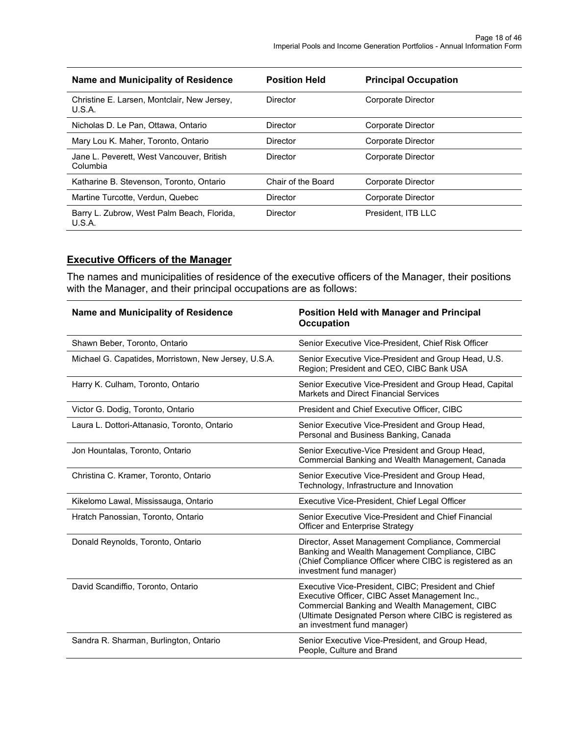| <b>Name and Municipality of Residence</b>             | <b>Position Held</b> | <b>Principal Occupation</b> |
|-------------------------------------------------------|----------------------|-----------------------------|
| Christine E. Larsen, Montclair, New Jersey,<br>U.S.A. | Director             | Corporate Director          |
| Nicholas D. Le Pan, Ottawa, Ontario                   | Director             | Corporate Director          |
| Mary Lou K. Maher, Toronto, Ontario                   | Director             | <b>Corporate Director</b>   |
| Jane L. Peverett, West Vancouver, British<br>Columbia | <b>Director</b>      | Corporate Director          |
| Katharine B. Stevenson, Toronto, Ontario              | Chair of the Board   | Corporate Director          |
| Martine Turcotte, Verdun, Quebec                      | <b>Director</b>      | <b>Corporate Director</b>   |
| Barry L. Zubrow, West Palm Beach, Florida,<br>U.S.A.  | Director             | President. ITB LLC          |

#### **Executive Officers of the Manager**

The names and municipalities of residence of the executive officers of the Manager, their positions with the Manager, and their principal occupations are as follows:

| <b>Name and Municipality of Residence</b>            | Position Held with Manager and Principal<br><b>Occupation</b>                                                                                                                                                                                     |
|------------------------------------------------------|---------------------------------------------------------------------------------------------------------------------------------------------------------------------------------------------------------------------------------------------------|
| Shawn Beber, Toronto, Ontario                        | Senior Executive Vice-President, Chief Risk Officer                                                                                                                                                                                               |
| Michael G. Capatides, Morristown, New Jersey, U.S.A. | Senior Executive Vice-President and Group Head, U.S.<br>Region; President and CEO, CIBC Bank USA                                                                                                                                                  |
| Harry K. Culham, Toronto, Ontario                    | Senior Executive Vice-President and Group Head, Capital<br>Markets and Direct Financial Services                                                                                                                                                  |
| Victor G. Dodig, Toronto, Ontario                    | President and Chief Executive Officer, CIBC                                                                                                                                                                                                       |
| Laura L. Dottori-Attanasio, Toronto, Ontario         | Senior Executive Vice-President and Group Head,<br>Personal and Business Banking, Canada                                                                                                                                                          |
| Jon Hountalas, Toronto, Ontario                      | Senior Executive-Vice President and Group Head,<br>Commercial Banking and Wealth Management, Canada                                                                                                                                               |
| Christina C. Kramer, Toronto, Ontario                | Senior Executive Vice-President and Group Head,<br>Technology, Infrastructure and Innovation                                                                                                                                                      |
| Kikelomo Lawal, Mississauga, Ontario                 | Executive Vice-President, Chief Legal Officer                                                                                                                                                                                                     |
| Hratch Panossian, Toronto, Ontario                   | Senior Executive Vice-President and Chief Financial<br>Officer and Enterprise Strategy                                                                                                                                                            |
| Donald Reynolds, Toronto, Ontario                    | Director, Asset Management Compliance, Commercial<br>Banking and Wealth Management Compliance, CIBC<br>(Chief Compliance Officer where CIBC is registered as an<br>investment fund manager)                                                       |
| David Scandiffio, Toronto, Ontario                   | Executive Vice-President, CIBC; President and Chief<br>Executive Officer, CIBC Asset Management Inc.,<br>Commercial Banking and Wealth Management, CIBC<br>(Ultimate Designated Person where CIBC is registered as<br>an investment fund manager) |
| Sandra R. Sharman, Burlington, Ontario               | Senior Executive Vice-President, and Group Head,<br>People, Culture and Brand                                                                                                                                                                     |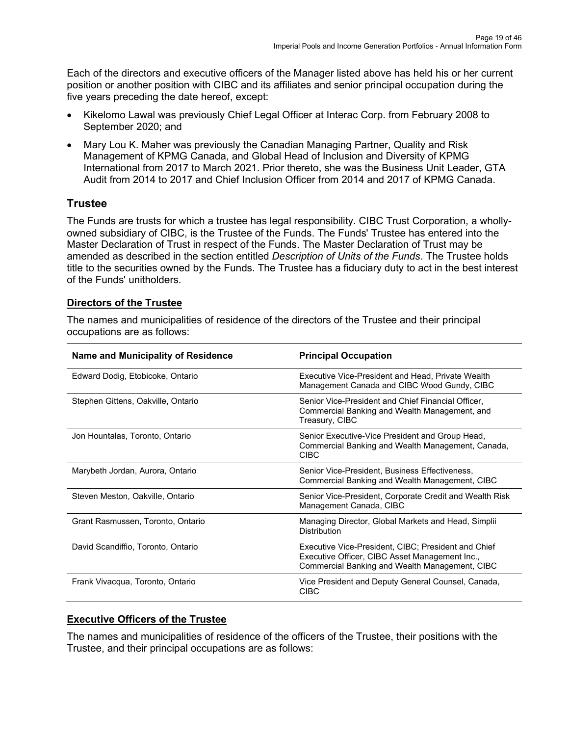Each of the directors and executive officers of the Manager listed above has held his or her current position or another position with CIBC and its affiliates and senior principal occupation during the five years preceding the date hereof, except:

- Kikelomo Lawal was previously Chief Legal Officer at Interac Corp. from February 2008 to September 2020; and
- Mary Lou K. Maher was previously the Canadian Managing Partner, Quality and Risk Management of KPMG Canada, and Global Head of Inclusion and Diversity of KPMG International from 2017 to March 2021. Prior thereto, she was the Business Unit Leader, GTA Audit from 2014 to 2017 and Chief Inclusion Officer from 2014 and 2017 of KPMG Canada.

## **Trustee**

The Funds are trusts for which a trustee has legal responsibility. CIBC Trust Corporation, a whollyowned subsidiary of CIBC, is the Trustee of the Funds. The Funds' Trustee has entered into the Master Declaration of Trust in respect of the Funds. The Master Declaration of Trust may be amended as described in the section entitled *Description of Units of the Funds*. The Trustee holds title to the securities owned by the Funds. The Trustee has a fiduciary duty to act in the best interest of the Funds' unitholders.

#### **Directors of the Trustee**

The names and municipalities of residence of the directors of the Trustee and their principal occupations are as follows:

| Name and Municipality of Residence | <b>Principal Occupation</b>                                                                                                                             |
|------------------------------------|---------------------------------------------------------------------------------------------------------------------------------------------------------|
| Edward Dodig, Etobicoke, Ontario   | Executive Vice-President and Head, Private Wealth<br>Management Canada and CIBC Wood Gundy, CIBC                                                        |
| Stephen Gittens, Oakville, Ontario | Senior Vice-President and Chief Financial Officer,<br>Commercial Banking and Wealth Management, and<br>Treasury, CIBC                                   |
| Jon Hountalas, Toronto, Ontario    | Senior Executive-Vice President and Group Head,<br>Commercial Banking and Wealth Management, Canada,<br><b>CIBC</b>                                     |
| Marybeth Jordan, Aurora, Ontario   | Senior Vice-President, Business Effectiveness,<br>Commercial Banking and Wealth Management, CIBC                                                        |
| Steven Meston, Oakville, Ontario   | Senior Vice-President, Corporate Credit and Wealth Risk<br>Management Canada, CIBC                                                                      |
| Grant Rasmussen, Toronto, Ontario  | Managing Director, Global Markets and Head, Simplii<br><b>Distribution</b>                                                                              |
| David Scandiffio, Toronto, Ontario | Executive Vice-President, CIBC; President and Chief<br>Executive Officer, CIBC Asset Management Inc.,<br>Commercial Banking and Wealth Management, CIBC |
| Frank Vivacqua, Toronto, Ontario   | Vice President and Deputy General Counsel, Canada,<br><b>CIBC</b>                                                                                       |

#### **Executive Officers of the Trustee**

The names and municipalities of residence of the officers of the Trustee, their positions with the Trustee, and their principal occupations are as follows: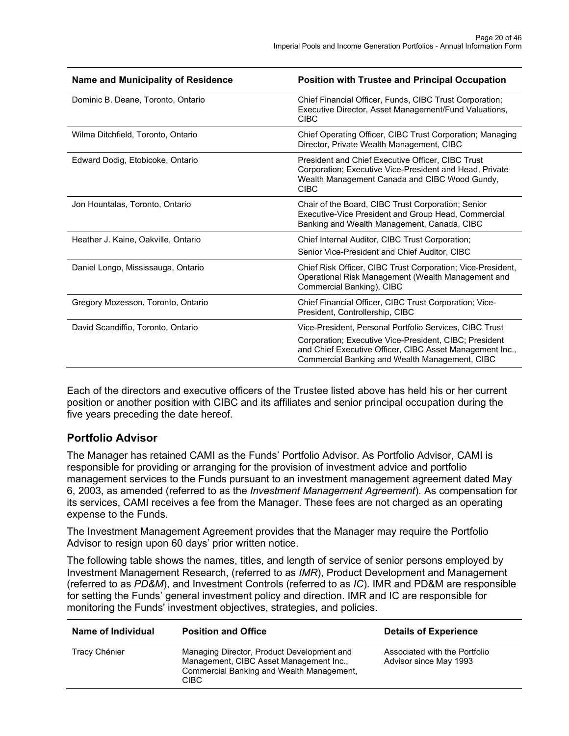| <b>Name and Municipality of Residence</b> | <b>Position with Trustee and Principal Occupation</b>                                                                                                                                                                           |
|-------------------------------------------|---------------------------------------------------------------------------------------------------------------------------------------------------------------------------------------------------------------------------------|
| Dominic B. Deane, Toronto, Ontario        | Chief Financial Officer, Funds, CIBC Trust Corporation;<br>Executive Director, Asset Management/Fund Valuations,<br><b>CIBC</b>                                                                                                 |
| Wilma Ditchfield, Toronto, Ontario        | Chief Operating Officer, CIBC Trust Corporation; Managing<br>Director, Private Wealth Management, CIBC                                                                                                                          |
| Edward Dodig, Etobicoke, Ontario          | <b>President and Chief Executive Officer, CIBC Trust</b><br>Corporation; Executive Vice-President and Head, Private<br>Wealth Management Canada and CIBC Wood Gundy,<br><b>CIBC</b>                                             |
| Jon Hountalas, Toronto, Ontario           | Chair of the Board, CIBC Trust Corporation; Senior<br>Executive-Vice President and Group Head, Commercial<br>Banking and Wealth Management, Canada, CIBC                                                                        |
| Heather J. Kaine, Oakville, Ontario       | Chief Internal Auditor, CIBC Trust Corporation;<br>Senior Vice-President and Chief Auditor, CIBC                                                                                                                                |
| Daniel Longo, Mississauga, Ontario        | Chief Risk Officer, CIBC Trust Corporation; Vice-President,<br>Operational Risk Management (Wealth Management and<br>Commercial Banking), CIBC                                                                                  |
| Gregory Mozesson, Toronto, Ontario        | Chief Financial Officer, CIBC Trust Corporation; Vice-<br>President, Controllership, CIBC                                                                                                                                       |
| David Scandiffio, Toronto, Ontario        | Vice-President, Personal Portfolio Services, CIBC Trust<br>Corporation; Executive Vice-President, CIBC; President<br>and Chief Executive Officer, CIBC Asset Management Inc.,<br>Commercial Banking and Wealth Management, CIBC |

Each of the directors and executive officers of the Trustee listed above has held his or her current position or another position with CIBC and its affiliates and senior principal occupation during the five years preceding the date hereof.

## **Portfolio Advisor**

The Manager has retained CAMI as the Funds' Portfolio Advisor. As Portfolio Advisor, CAMI is responsible for providing or arranging for the provision of investment advice and portfolio management services to the Funds pursuant to an investment management agreement dated May 6, 2003, as amended (referred to as the *Investment Management Agreement*). As compensation for its services, CAMI receives a fee from the Manager. These fees are not charged as an operating expense to the Funds.

The Investment Management Agreement provides that the Manager may require the Portfolio Advisor to resign upon 60 days' prior written notice.

The following table shows the names, titles, and length of service of senior persons employed by Investment Management Research, (referred to as *IMR*), Product Development and Management (referred to as *PD&M*), and Investment Controls (referred to as *IC*). IMR and PD&M are responsible for setting the Funds' general investment policy and direction. IMR and IC are responsible for monitoring the Funds' investment objectives, strategies, and policies.

| Name of Individual | <b>Position and Office</b>                                                                                                                        | <b>Details of Experience</b>                            |
|--------------------|---------------------------------------------------------------------------------------------------------------------------------------------------|---------------------------------------------------------|
| Tracy Chénier      | Managing Director, Product Development and<br>Management, CIBC Asset Management Inc.,<br>Commercial Banking and Wealth Management,<br><b>CIBC</b> | Associated with the Portfolio<br>Advisor since May 1993 |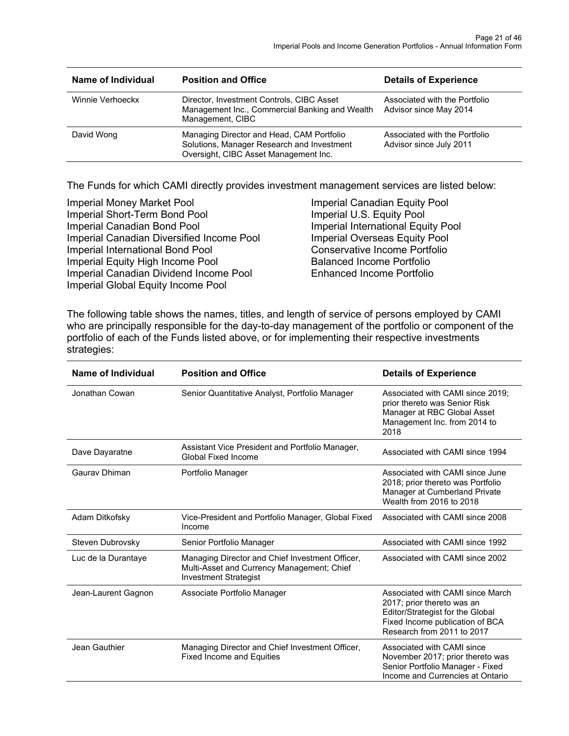| Name of Individual | <b>Position and Office</b>                                                                                                       | <b>Details of Experience</b>                             |
|--------------------|----------------------------------------------------------------------------------------------------------------------------------|----------------------------------------------------------|
| Winnie Verhoeckx   | Director, Investment Controls, CIBC Asset<br>Management Inc., Commercial Banking and Wealth<br>Management, CIBC                  | Associated with the Portfolio<br>Advisor since May 2014  |
| David Wong         | Managing Director and Head, CAM Portfolio<br>Solutions, Manager Research and Investment<br>Oversight, CIBC Asset Management Inc. | Associated with the Portfolio<br>Advisor since July 2011 |

The Funds for which CAMI directly provides investment management services are listed below:

| <b>Imperial Money Market Pool</b>         |
|-------------------------------------------|
| Imperial Short-Term Bond Pool             |
| Imperial Canadian Bond Pool               |
| Imperial Canadian Diversified Income Pool |
| Imperial International Bond Pool          |
| Imperial Equity High Income Pool          |
| Imperial Canadian Dividend Income Pool    |
| Imperial Global Equity Income Pool        |

Imperial Canadian Equity Pool Imperial U.S. Equity Pool Imperial International Equity Pool Imperial Overseas Equity Pool Conservative Income Portfolio Balanced Income Portfolio Enhanced Income Portfolio

The following table shows the names, titles, and length of service of persons employed by CAMI who are principally responsible for the day-to-day management of the portfolio or component of the portfolio of each of the Funds listed above, or for implementing their respective investments strategies:

| Name of Individual  | <b>Position and Office</b>                                                                                                    | <b>Details of Experience</b>                                                                                                                                        |
|---------------------|-------------------------------------------------------------------------------------------------------------------------------|---------------------------------------------------------------------------------------------------------------------------------------------------------------------|
| Jonathan Cowan      | Senior Quantitative Analyst, Portfolio Manager                                                                                | Associated with CAMI since 2019;<br>prior thereto was Senior Risk<br>Manager at RBC Global Asset<br>Management Inc. from 2014 to<br>2018                            |
| Dave Dayaratne      | Assistant Vice President and Portfolio Manager,<br>Global Fixed Income                                                        | Associated with CAMI since 1994                                                                                                                                     |
| Gauray Dhiman       | Portfolio Manager                                                                                                             | Associated with CAMI since June<br>2018; prior thereto was Portfolio<br>Manager at Cumberland Private<br>Wealth from 2016 to 2018                                   |
| Adam Ditkofsky      | Vice-President and Portfolio Manager, Global Fixed<br>Income                                                                  | Associated with CAMI since 2008                                                                                                                                     |
| Steven Dubrovsky    | Senior Portfolio Manager                                                                                                      | Associated with CAMI since 1992                                                                                                                                     |
| Luc de la Durantaye | Managing Director and Chief Investment Officer,<br>Multi-Asset and Currency Management; Chief<br><b>Investment Strategist</b> | Associated with CAMI since 2002                                                                                                                                     |
| Jean-Laurent Gagnon | Associate Portfolio Manager                                                                                                   | Associated with CAMI since March<br>2017; prior thereto was an<br>Editor/Strategist for the Global<br>Fixed Income publication of BCA<br>Research from 2011 to 2017 |
| Jean Gauthier       | Managing Director and Chief Investment Officer,<br><b>Fixed Income and Equities</b>                                           | Associated with CAMI since<br>November 2017; prior thereto was<br>Senior Portfolio Manager - Fixed<br>Income and Currencies at Ontario                              |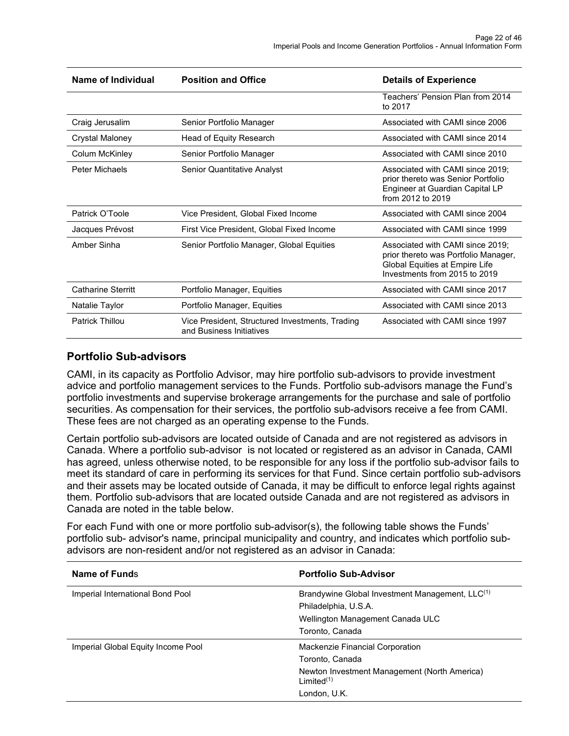| Name of Individual        | <b>Position and Office</b>                                                  | <b>Details of Experience</b>                                                                                                                |
|---------------------------|-----------------------------------------------------------------------------|---------------------------------------------------------------------------------------------------------------------------------------------|
|                           |                                                                             | Teachers' Pension Plan from 2014<br>to 2017                                                                                                 |
| Craig Jerusalim           | Senior Portfolio Manager                                                    | Associated with CAMI since 2006                                                                                                             |
| Crystal Maloney           | Head of Equity Research                                                     | Associated with CAMI since 2014                                                                                                             |
| Colum McKinley            | Senior Portfolio Manager                                                    | Associated with CAMI since 2010                                                                                                             |
| <b>Peter Michaels</b>     | Senior Quantitative Analyst                                                 | Associated with CAMI since 2019;<br>prior thereto was Senior Portfolio<br>Engineer at Guardian Capital LP<br>from 2012 to 2019              |
| Patrick O'Toole           | Vice President, Global Fixed Income                                         | Associated with CAMI since 2004                                                                                                             |
| Jacques Prévost           | First Vice President, Global Fixed Income                                   | Associated with CAMI since 1999                                                                                                             |
| Amber Sinha               | Senior Portfolio Manager, Global Equities                                   | Associated with CAMI since 2019;<br>prior thereto was Portfolio Manager,<br>Global Equities at Empire Life<br>Investments from 2015 to 2019 |
| <b>Catharine Sterritt</b> | Portfolio Manager, Equities                                                 | Associated with CAMI since 2017                                                                                                             |
| Natalie Taylor            | Portfolio Manager, Equities                                                 | Associated with CAMI since 2013                                                                                                             |
| Patrick Thillou           | Vice President, Structured Investments, Trading<br>and Business Initiatives | Associated with CAMI since 1997                                                                                                             |

## **Portfolio Sub-advisors**

CAMI, in its capacity as Portfolio Advisor, may hire portfolio sub-advisors to provide investment advice and portfolio management services to the Funds. Portfolio sub-advisors manage the Fund's portfolio investments and supervise brokerage arrangements for the purchase and sale of portfolio securities. As compensation for their services, the portfolio sub-advisors receive a fee from CAMI. These fees are not charged as an operating expense to the Funds.

Certain portfolio sub-advisors are located outside of Canada and are not registered as advisors in Canada. Where a portfolio sub-advisor is not located or registered as an advisor in Canada, CAMI has agreed, unless otherwise noted, to be responsible for any loss if the portfolio sub-advisor fails to meet its standard of care in performing its services for that Fund. Since certain portfolio sub-advisors and their assets may be located outside of Canada, it may be difficult to enforce legal rights against them. Portfolio sub-advisors that are located outside Canada and are not registered as advisors in Canada are noted in the table below.

For each Fund with one or more portfolio sub-advisor(s), the following table shows the Funds' portfolio sub- advisor's name, principal municipality and country, and indicates which portfolio subadvisors are non-resident and/or not registered as an advisor in Canada:

| Name of Funds                      | <b>Portfolio Sub-Advisor</b>                                                        |
|------------------------------------|-------------------------------------------------------------------------------------|
| Imperial International Bond Pool   | Brandywine Global Investment Management, LLC <sup>(1)</sup><br>Philadelphia, U.S.A. |
|                                    | Wellington Management Canada ULC                                                    |
|                                    | Toronto, Canada                                                                     |
| Imperial Global Equity Income Pool | Mackenzie Financial Corporation                                                     |
|                                    | Toronto. Canada                                                                     |
|                                    | Newton Investment Management (North America)<br>Limited $(1)$                       |
|                                    | London, U.K.                                                                        |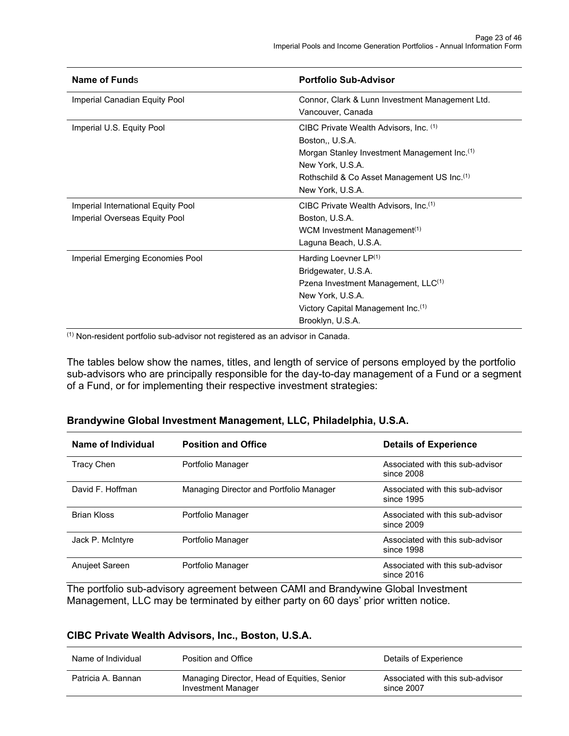| Name of Funds                      | <b>Portfolio Sub-Advisor</b>                             |  |
|------------------------------------|----------------------------------------------------------|--|
| Imperial Canadian Equity Pool      | Connor, Clark & Lunn Investment Management Ltd.          |  |
|                                    | Vancouver, Canada                                        |  |
| Imperial U.S. Equity Pool          | CIBC Private Wealth Advisors, Inc. (1)                   |  |
|                                    | Boston,, U.S.A.                                          |  |
|                                    | Morgan Stanley Investment Management Inc. <sup>(1)</sup> |  |
|                                    | New York, U.S.A.                                         |  |
|                                    | Rothschild & Co Asset Management US Inc. <sup>(1)</sup>  |  |
|                                    | New York, U.S.A.                                         |  |
| Imperial International Equity Pool | CIBC Private Wealth Advisors, Inc. <sup>(1)</sup>        |  |
| Imperial Overseas Equity Pool      | Boston, U.S.A.                                           |  |
|                                    | WCM Investment Management <sup>(1)</sup>                 |  |
|                                    | Laguna Beach, U.S.A.                                     |  |
| Imperial Emerging Economies Pool   | Harding Loevner LP(1)                                    |  |
|                                    | Bridgewater, U.S.A.                                      |  |
|                                    | Pzena Investment Management, LLC <sup>(1)</sup>          |  |
|                                    | New York, U.S.A.                                         |  |
|                                    | Victory Capital Management Inc. <sup>(1)</sup>           |  |
|                                    | Brooklyn, U.S.A.                                         |  |

(1) Non-resident portfolio sub-advisor not registered as an advisor in Canada.

The tables below show the names, titles, and length of service of persons employed by the portfolio sub-advisors who are principally responsible for the day-to-day management of a Fund or a segment of a Fund, or for implementing their respective investment strategies:

| Name of Individual    | <b>Position and Office</b>              | <b>Details of Experience</b>                   |
|-----------------------|-----------------------------------------|------------------------------------------------|
| <b>Tracy Chen</b>     | Portfolio Manager                       | Associated with this sub-advisor<br>since 2008 |
| David F. Hoffman      | Managing Director and Portfolio Manager | Associated with this sub-advisor<br>since 1995 |
| <b>Brian Kloss</b>    | Portfolio Manager                       | Associated with this sub-advisor<br>since 2009 |
| Jack P. McIntyre      | Portfolio Manager                       | Associated with this sub-advisor<br>since 1998 |
| <b>Anujeet Sareen</b> | Portfolio Manager                       | Associated with this sub-advisor<br>since 2016 |

#### **Brandywine Global Investment Management, LLC, Philadelphia, U.S.A.**

The portfolio sub-advisory agreement between CAMI and Brandywine Global Investment Management, LLC may be terminated by either party on 60 days' prior written notice.

#### **CIBC Private Wealth Advisors, Inc., Boston, U.S.A.**

| Name of Individual | Position and Office                                               | Details of Experience                          |
|--------------------|-------------------------------------------------------------------|------------------------------------------------|
| Patricia A. Bannan | Managing Director, Head of Equities, Senior<br>Investment Manager | Associated with this sub-advisor<br>since 2007 |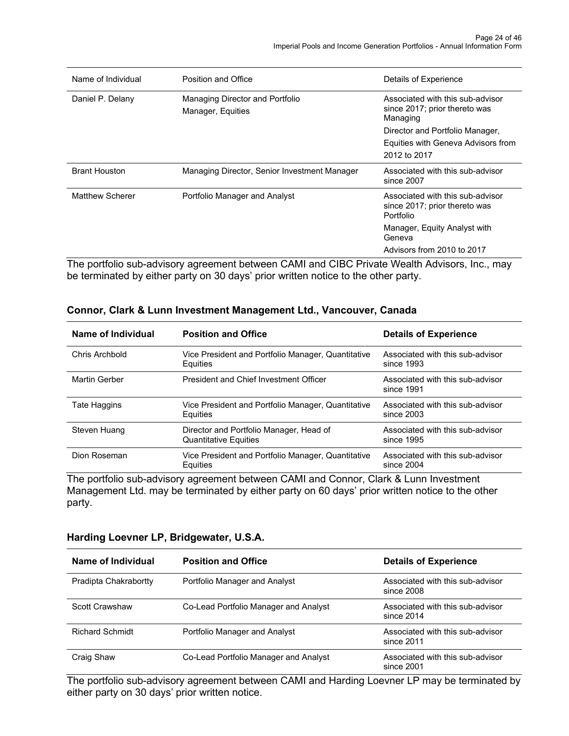| Name of Individual   | Position and Office                                  | Details of Experience                                                                 |
|----------------------|------------------------------------------------------|---------------------------------------------------------------------------------------|
| Daniel P. Delany     | Managing Director and Portfolio<br>Manager, Equities | Associated with this sub-advisor<br>since 2017; prior thereto was<br>Managing         |
|                      |                                                      | Director and Portfolio Manager,<br>Equities with Geneva Advisors from<br>2012 to 2017 |
| <b>Brant Houston</b> | Managing Director, Senior Investment Manager         | Associated with this sub-advisor<br>since 2007                                        |
| Matthew Scherer      | Portfolio Manager and Analyst                        | Associated with this sub-advisor<br>since 2017; prior thereto was<br>Portfolio        |
|                      |                                                      | Manager, Equity Analyst with<br>Geneva                                                |
|                      |                                                      | Advisors from 2010 to 2017                                                            |

The portfolio sub-advisory agreement between CAMI and CIBC Private Wealth Advisors, Inc., may be terminated by either party on 30 days' prior written notice to the other party.

| Name of Individual | <b>Position and Office</b>                                              | <b>Details of Experience</b>                   |
|--------------------|-------------------------------------------------------------------------|------------------------------------------------|
| Chris Archbold     | Vice President and Portfolio Manager, Quantitative<br>Equities          | Associated with this sub-advisor<br>since 1993 |
| Martin Gerber      | President and Chief Investment Officer                                  | Associated with this sub-advisor<br>since 1991 |
| Tate Haggins       | Vice President and Portfolio Manager, Quantitative<br>Equities          | Associated with this sub-advisor<br>since 2003 |
| Steven Huang       | Director and Portfolio Manager, Head of<br><b>Quantitative Equities</b> | Associated with this sub-advisor<br>since 1995 |
| Dion Roseman       | Vice President and Portfolio Manager, Quantitative<br>Equities          | Associated with this sub-advisor<br>since 2004 |

#### **Connor, Clark & Lunn Investment Management Ltd., Vancouver, Canada**

The portfolio sub-advisory agreement between CAMI and Connor, Clark & Lunn Investment Management Ltd. may be terminated by either party on 60 days' prior written notice to the other party.

| Name of Individual     | <b>Position and Office</b>            | <b>Details of Experience</b>                   |
|------------------------|---------------------------------------|------------------------------------------------|
| Pradipta Chakrabortty  | Portfolio Manager and Analyst         | Associated with this sub-advisor<br>since 2008 |
| Scott Crawshaw         | Co-Lead Portfolio Manager and Analyst | Associated with this sub-advisor<br>since 2014 |
| <b>Richard Schmidt</b> | Portfolio Manager and Analyst         | Associated with this sub-advisor<br>since 2011 |
| Craig Shaw             | Co-Lead Portfolio Manager and Analyst | Associated with this sub-advisor<br>since 2001 |

#### **Harding Loevner LP, Bridgewater, U.S.A.**

The portfolio sub-advisory agreement between CAMI and Harding Loevner LP may be terminated by either party on 30 days' prior written notice.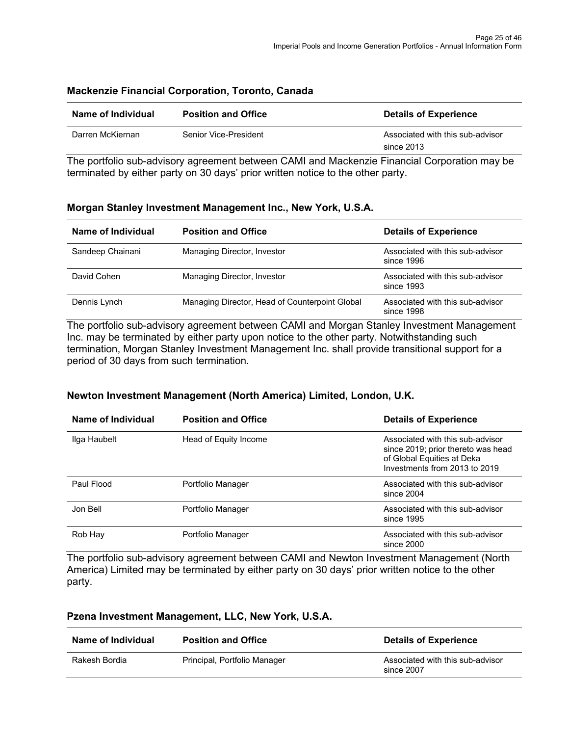| Name of Individual | <b>Position and Office</b> | <b>Details of Experience</b>                   |
|--------------------|----------------------------|------------------------------------------------|
| Darren McKiernan   | Senior Vice-President      | Associated with this sub-advisor<br>since 2013 |

#### **Mackenzie Financial Corporation, Toronto, Canada**

The portfolio sub-advisory agreement between CAMI and Mackenzie Financial Corporation may be terminated by either party on 30 days' prior written notice to the other party.

#### **Morgan Stanley Investment Management Inc., New York, U.S.A.**

| Name of Individual | <b>Position and Office</b>                     | <b>Details of Experience</b>                   |
|--------------------|------------------------------------------------|------------------------------------------------|
| Sandeep Chainani   | Managing Director, Investor                    | Associated with this sub-advisor<br>since 1996 |
| David Cohen        | Managing Director, Investor                    | Associated with this sub-advisor<br>since 1993 |
| Dennis Lynch       | Managing Director, Head of Counterpoint Global | Associated with this sub-advisor<br>since 1998 |

The portfolio sub-advisory agreement between CAMI and Morgan Stanley Investment Management Inc. may be terminated by either party upon notice to the other party. Notwithstanding such termination, Morgan Stanley Investment Management Inc. shall provide transitional support for a period of 30 days from such termination.

#### **Newton Investment Management (North America) Limited, London, U.K.**

| Name of Individual | <b>Position and Office</b> | <b>Details of Experience</b>                                                                                                          |
|--------------------|----------------------------|---------------------------------------------------------------------------------------------------------------------------------------|
| Ilga Haubelt       | Head of Equity Income      | Associated with this sub-advisor<br>since 2019; prior thereto was head<br>of Global Equities at Deka<br>Investments from 2013 to 2019 |
| Paul Flood         | Portfolio Manager          | Associated with this sub-advisor<br>since 2004                                                                                        |
| Jon Bell           | Portfolio Manager          | Associated with this sub-advisor<br>since 1995                                                                                        |
| Rob Hay            | Portfolio Manager          | Associated with this sub-advisor<br>since $2000$                                                                                      |

The portfolio sub-advisory agreement between CAMI and Newton Investment Management (North America) Limited may be terminated by either party on 30 days' prior written notice to the other party.

#### **Pzena Investment Management, LLC, New York, U.S.A.**

| Name of Individual | <b>Position and Office</b>   | <b>Details of Experience</b>                   |
|--------------------|------------------------------|------------------------------------------------|
| Rakesh Bordia      | Principal, Portfolio Manager | Associated with this sub-advisor<br>since 2007 |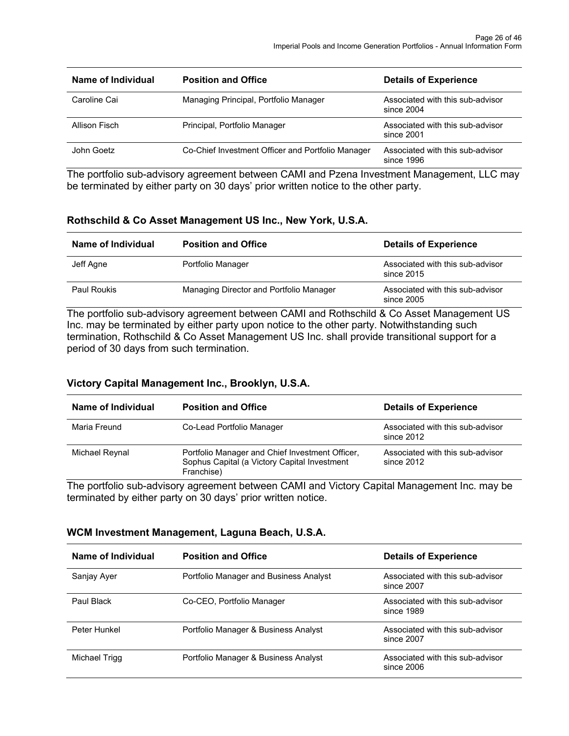| Name of Individual | <b>Position and Office</b>                        | <b>Details of Experience</b>                   |
|--------------------|---------------------------------------------------|------------------------------------------------|
| Caroline Cai       | Managing Principal, Portfolio Manager             | Associated with this sub-advisor<br>since 2004 |
| Allison Fisch      | Principal, Portfolio Manager                      | Associated with this sub-advisor<br>since 2001 |
| John Goetz         | Co-Chief Investment Officer and Portfolio Manager | Associated with this sub-advisor<br>since 1996 |

The portfolio sub-advisory agreement between CAMI and Pzena Investment Management, LLC may be terminated by either party on 30 days' prior written notice to the other party.

#### **Rothschild & Co Asset Management US Inc., New York, U.S.A.**

| Name of Individual | <b>Position and Office</b>              | <b>Details of Experience</b>                     |
|--------------------|-----------------------------------------|--------------------------------------------------|
| Jeff Agne          | Portfolio Manager                       | Associated with this sub-advisor<br>since 2015   |
| Paul Roukis        | Managing Director and Portfolio Manager | Associated with this sub-advisor<br>since $2005$ |

The portfolio sub-advisory agreement between CAMI and Rothschild & Co Asset Management US Inc. may be terminated by either party upon notice to the other party. Notwithstanding such termination, Rothschild & Co Asset Management US Inc. shall provide transitional support for a period of 30 days from such termination.

#### **Victory Capital Management Inc., Brooklyn, U.S.A.**

| Name of Individual | <b>Position and Office</b>                                                                                    | <b>Details of Experience</b>                   |
|--------------------|---------------------------------------------------------------------------------------------------------------|------------------------------------------------|
| Maria Freund       | Co-Lead Portfolio Manager                                                                                     | Associated with this sub-advisor<br>since 2012 |
| Michael Reynal     | Portfolio Manager and Chief Investment Officer,<br>Sophus Capital (a Victory Capital Investment<br>Franchise) | Associated with this sub-advisor<br>since 2012 |

The portfolio sub-advisory agreement between CAMI and Victory Capital Management Inc. may be terminated by either party on 30 days' prior written notice.

#### **WCM Investment Management, Laguna Beach, U.S.A.**

| Name of Individual | <b>Position and Office</b>             | <b>Details of Experience</b>                   |
|--------------------|----------------------------------------|------------------------------------------------|
| Sanjay Ayer        | Portfolio Manager and Business Analyst | Associated with this sub-advisor<br>since 2007 |
| Paul Black         | Co-CEO, Portfolio Manager              | Associated with this sub-advisor<br>since 1989 |
| Peter Hunkel       | Portfolio Manager & Business Analyst   | Associated with this sub-advisor<br>since 2007 |
| Michael Trigg      | Portfolio Manager & Business Analyst   | Associated with this sub-advisor<br>since 2006 |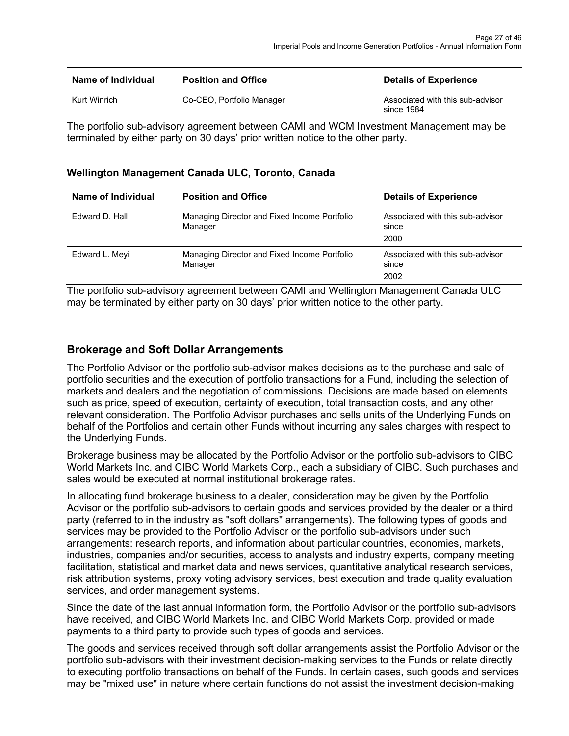| Name of Individual | <b>Position and Office</b> | <b>Details of Experience</b>                   |
|--------------------|----------------------------|------------------------------------------------|
| Kurt Winrich       | Co-CEO, Portfolio Manager  | Associated with this sub-advisor<br>since 1984 |

The portfolio sub-advisory agreement between CAMI and WCM Investment Management may be terminated by either party on 30 days' prior written notice to the other party.

|  | Wellington Management Canada ULC, Toronto, Canada |  |  |  |
|--|---------------------------------------------------|--|--|--|
|--|---------------------------------------------------|--|--|--|

| Name of Individual | <b>Position and Office</b>                              | <b>Details of Experience</b>                      |
|--------------------|---------------------------------------------------------|---------------------------------------------------|
| Edward D. Hall     | Managing Director and Fixed Income Portfolio<br>Manager | Associated with this sub-advisor<br>since<br>2000 |
| Edward L. Meyi     | Managing Director and Fixed Income Portfolio<br>Manager | Associated with this sub-advisor<br>since<br>2002 |

The portfolio sub-advisory agreement between CAMI and Wellington Management Canada ULC may be terminated by either party on 30 days' prior written notice to the other party.

## **Brokerage and Soft Dollar Arrangements**

The Portfolio Advisor or the portfolio sub-advisor makes decisions as to the purchase and sale of portfolio securities and the execution of portfolio transactions for a Fund, including the selection of markets and dealers and the negotiation of commissions. Decisions are made based on elements such as price, speed of execution, certainty of execution, total transaction costs, and any other relevant consideration. The Portfolio Advisor purchases and sells units of the Underlying Funds on behalf of the Portfolios and certain other Funds without incurring any sales charges with respect to the Underlying Funds.

Brokerage business may be allocated by the Portfolio Advisor or the portfolio sub-advisors to CIBC World Markets Inc. and CIBC World Markets Corp., each a subsidiary of CIBC. Such purchases and sales would be executed at normal institutional brokerage rates.

In allocating fund brokerage business to a dealer, consideration may be given by the Portfolio Advisor or the portfolio sub-advisors to certain goods and services provided by the dealer or a third party (referred to in the industry as "soft dollars" arrangements). The following types of goods and services may be provided to the Portfolio Advisor or the portfolio sub-advisors under such arrangements: research reports, and information about particular countries, economies, markets, industries, companies and/or securities, access to analysts and industry experts, company meeting facilitation, statistical and market data and news services, quantitative analytical research services, risk attribution systems, proxy voting advisory services, best execution and trade quality evaluation services, and order management systems.

Since the date of the last annual information form, the Portfolio Advisor or the portfolio sub-advisors have received, and CIBC World Markets Inc. and CIBC World Markets Corp. provided or made payments to a third party to provide such types of goods and services.

The goods and services received through soft dollar arrangements assist the Portfolio Advisor or the portfolio sub-advisors with their investment decision-making services to the Funds or relate directly to executing portfolio transactions on behalf of the Funds. In certain cases, such goods and services may be "mixed use" in nature where certain functions do not assist the investment decision-making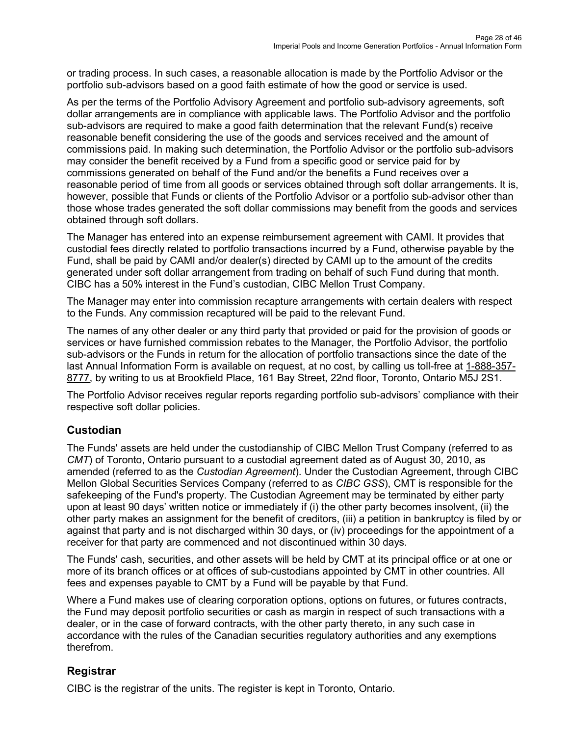or trading process. In such cases, a reasonable allocation is made by the Portfolio Advisor or the portfolio sub-advisors based on a good faith estimate of how the good or service is used.

As per the terms of the Portfolio Advisory Agreement and portfolio sub-advisory agreements, soft dollar arrangements are in compliance with applicable laws. The Portfolio Advisor and the portfolio sub-advisors are required to make a good faith determination that the relevant Fund(s) receive reasonable benefit considering the use of the goods and services received and the amount of commissions paid. In making such determination, the Portfolio Advisor or the portfolio sub-advisors may consider the benefit received by a Fund from a specific good or service paid for by commissions generated on behalf of the Fund and/or the benefits a Fund receives over a reasonable period of time from all goods or services obtained through soft dollar arrangements. It is, however, possible that Funds or clients of the Portfolio Advisor or a portfolio sub-advisor other than those whose trades generated the soft dollar commissions may benefit from the goods and services obtained through soft dollars.

The Manager has entered into an expense reimbursement agreement with CAMI. It provides that custodial fees directly related to portfolio transactions incurred by a Fund, otherwise payable by the Fund, shall be paid by CAMI and/or dealer(s) directed by CAMI up to the amount of the credits generated under soft dollar arrangement from trading on behalf of such Fund during that month. CIBC has a 50% interest in the Fund's custodian, CIBC Mellon Trust Company.

The Manager may enter into commission recapture arrangements with certain dealers with respect to the Funds. Any commission recaptured will be paid to the relevant Fund.

The names of any other dealer or any third party that provided or paid for the provision of goods or services or have furnished commission rebates to the Manager, the Portfolio Advisor, the portfolio sub-advisors or the Funds in return for the allocation of portfolio transactions since the date of the last Annual Information Form is available on request, at no cost, by calling us toll-free at [1-888-357-](tel:18883578777) [8777,](tel:18883578777) by writing to us at Brookfield Place, 161 Bay Street, 22nd floor, Toronto, Ontario M5J 2S1.

The Portfolio Advisor receives regular reports regarding portfolio sub-advisors' compliance with their respective soft dollar policies.

## **Custodian**

The Funds' assets are held under the custodianship of CIBC Mellon Trust Company (referred to as *CMT*) of Toronto, Ontario pursuant to a custodial agreement dated as of August 30, 2010, as amended (referred to as the *Custodian Agreement*). Under the Custodian Agreement, through CIBC Mellon Global Securities Services Company (referred to as *CIBC GSS*), CMT is responsible for the safekeeping of the Fund's property. The Custodian Agreement may be terminated by either party upon at least 90 days' written notice or immediately if (i) the other party becomes insolvent, (ii) the other party makes an assignment for the benefit of creditors, (iii) a petition in bankruptcy is filed by or against that party and is not discharged within 30 days, or (iv) proceedings for the appointment of a receiver for that party are commenced and not discontinued within 30 days.

The Funds' cash, securities, and other assets will be held by CMT at its principal office or at one or more of its branch offices or at offices of sub-custodians appointed by CMT in other countries. All fees and expenses payable to CMT by a Fund will be payable by that Fund.

Where a Fund makes use of clearing corporation options, options on futures, or futures contracts, the Fund may deposit portfolio securities or cash as margin in respect of such transactions with a dealer, or in the case of forward contracts, with the other party thereto, in any such case in accordance with the rules of the Canadian securities regulatory authorities and any exemptions therefrom.

## **Registrar**

CIBC is the registrar of the units. The register is kept in Toronto, Ontario.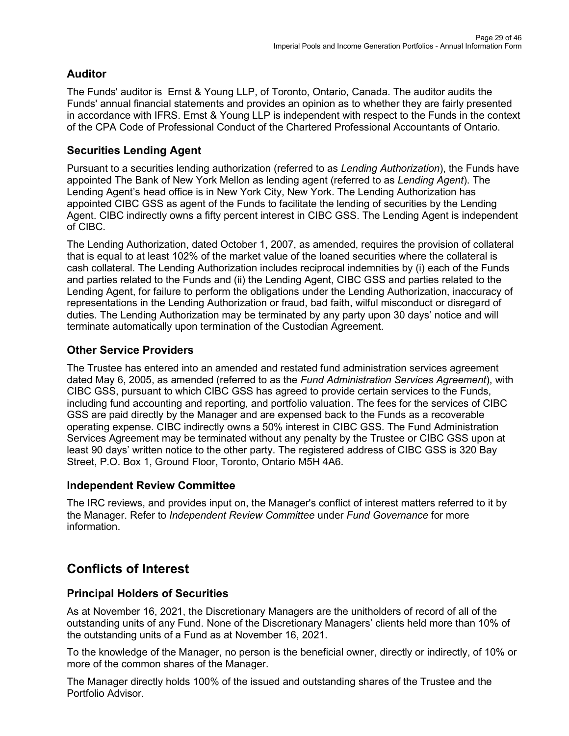## **Auditor**

The Funds' auditor is Ernst & Young LLP, of Toronto, Ontario, Canada. The auditor audits the Funds' annual financial statements and provides an opinion as to whether they are fairly presented in accordance with IFRS. Ernst & Young LLP is independent with respect to the Funds in the context of the CPA Code of Professional Conduct of the Chartered Professional Accountants of Ontario.

## **Securities Lending Agent**

Pursuant to a securities lending authorization (referred to as *Lending Authorization*), the Funds have appointed The Bank of New York Mellon as lending agent (referred to as *Lending Agent*). The Lending Agent's head office is in New York City, New York. The Lending Authorization has appointed CIBC GSS as agent of the Funds to facilitate the lending of securities by the Lending Agent. CIBC indirectly owns a fifty percent interest in CIBC GSS. The Lending Agent is independent of CIBC.

The Lending Authorization, dated October 1, 2007, as amended, requires the provision of collateral that is equal to at least 102% of the market value of the loaned securities where the collateral is cash collateral. The Lending Authorization includes reciprocal indemnities by (i) each of the Funds and parties related to the Funds and (ii) the Lending Agent, CIBC GSS and parties related to the Lending Agent, for failure to perform the obligations under the Lending Authorization, inaccuracy of representations in the Lending Authorization or fraud, bad faith, wilful misconduct or disregard of duties. The Lending Authorization may be terminated by any party upon 30 days' notice and will terminate automatically upon termination of the Custodian Agreement.

## **Other Service Providers**

The Trustee has entered into an amended and restated fund administration services agreement dated May 6, 2005, as amended (referred to as the *Fund Administration Services Agreement*), with CIBC GSS, pursuant to which CIBC GSS has agreed to provide certain services to the Funds, including fund accounting and reporting, and portfolio valuation. The fees for the services of CIBC GSS are paid directly by the Manager and are expensed back to the Funds as a recoverable operating expense. CIBC indirectly owns a 50% interest in CIBC GSS. The Fund Administration Services Agreement may be terminated without any penalty by the Trustee or CIBC GSS upon at least 90 days' written notice to the other party. The registered address of CIBC GSS is 320 Bay Street, P.O. Box 1, Ground Floor, Toronto, Ontario M5H 4A6.

## **Independent Review Committee**

The IRC reviews, and provides input on, the Manager's conflict of interest matters referred to it by the Manager. Refer to *Independent Review Committee* under *Fund Governance* for more information.

# <span id="page-28-0"></span>**Conflicts of Interest**

## **Principal Holders of Securities**

As at November 16, 2021, the Discretionary Managers are the unitholders of record of all of the outstanding units of any Fund. None of the Discretionary Managers' clients held more than 10% of the outstanding units of a Fund as at November 16, 2021.

To the knowledge of the Manager, no person is the beneficial owner, directly or indirectly, of 10% or more of the common shares of the Manager.

The Manager directly holds 100% of the issued and outstanding shares of the Trustee and the Portfolio Advisor.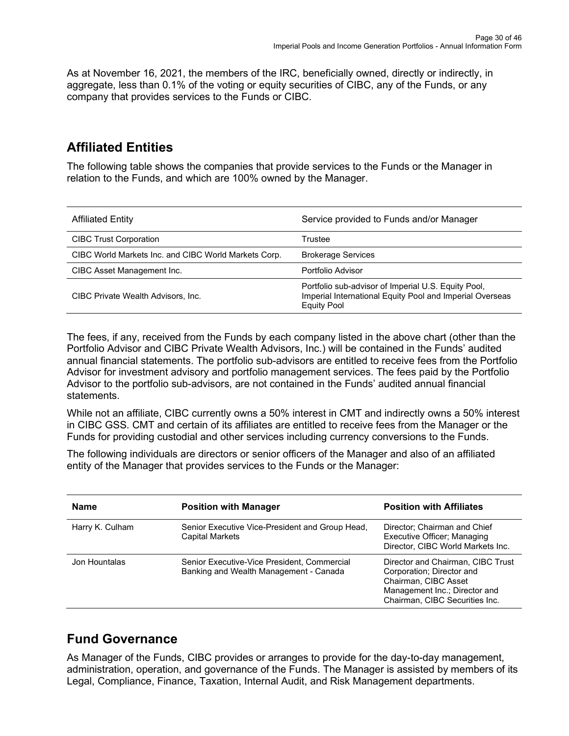As at November 16, 2021, the members of the IRC, beneficially owned, directly or indirectly, in aggregate, less than 0.1% of the voting or equity securities of CIBC, any of the Funds, or any company that provides services to the Funds or CIBC.

# <span id="page-29-0"></span>**Affiliated Entities**

The following table shows the companies that provide services to the Funds or the Manager in relation to the Funds, and which are 100% owned by the Manager.

| <b>Affiliated Entity</b>                             | Service provided to Funds and/or Manager                                                                                       |
|------------------------------------------------------|--------------------------------------------------------------------------------------------------------------------------------|
| <b>CIBC Trust Corporation</b>                        | Trustee                                                                                                                        |
| CIBC World Markets Inc. and CIBC World Markets Corp. | <b>Brokerage Services</b>                                                                                                      |
| CIBC Asset Management Inc.                           | Portfolio Advisor                                                                                                              |
| CIBC Private Wealth Advisors, Inc.                   | Portfolio sub-advisor of Imperial U.S. Equity Pool,<br>Imperial International Equity Pool and Imperial Overseas<br>Equity Pool |

The fees, if any, received from the Funds by each company listed in the above chart (other than the Portfolio Advisor and CIBC Private Wealth Advisors, Inc.) will be contained in the Funds' audited annual financial statements. The portfolio sub-advisors are entitled to receive fees from the Portfolio Advisor for investment advisory and portfolio management services. The fees paid by the Portfolio Advisor to the portfolio sub-advisors, are not contained in the Funds' audited annual financial statements.

While not an affiliate, CIBC currently owns a 50% interest in CMT and indirectly owns a 50% interest in CIBC GSS. CMT and certain of its affiliates are entitled to receive fees from the Manager or the Funds for providing custodial and other services including currency conversions to the Funds.

The following individuals are directors or senior officers of the Manager and also of an affiliated entity of the Manager that provides services to the Funds or the Manager:

| <b>Name</b>     | <b>Position with Manager</b>                                                          | <b>Position with Affiliates</b>                                                                                                                           |
|-----------------|---------------------------------------------------------------------------------------|-----------------------------------------------------------------------------------------------------------------------------------------------------------|
| Harry K. Culham | Senior Executive Vice-President and Group Head,<br><b>Capital Markets</b>             | Director; Chairman and Chief<br>Executive Officer; Managing<br>Director, CIBC World Markets Inc.                                                          |
| Jon Hountalas   | Senior Executive-Vice President, Commercial<br>Banking and Wealth Management - Canada | Director and Chairman, CIBC Trust<br>Corporation; Director and<br>Chairman, CIBC Asset<br>Management Inc.; Director and<br>Chairman, CIBC Securities Inc. |

## <span id="page-29-1"></span>**Fund Governance**

As Manager of the Funds, CIBC provides or arranges to provide for the day-to-day management, administration, operation, and governance of the Funds. The Manager is assisted by members of its Legal, Compliance, Finance, Taxation, Internal Audit, and Risk Management departments.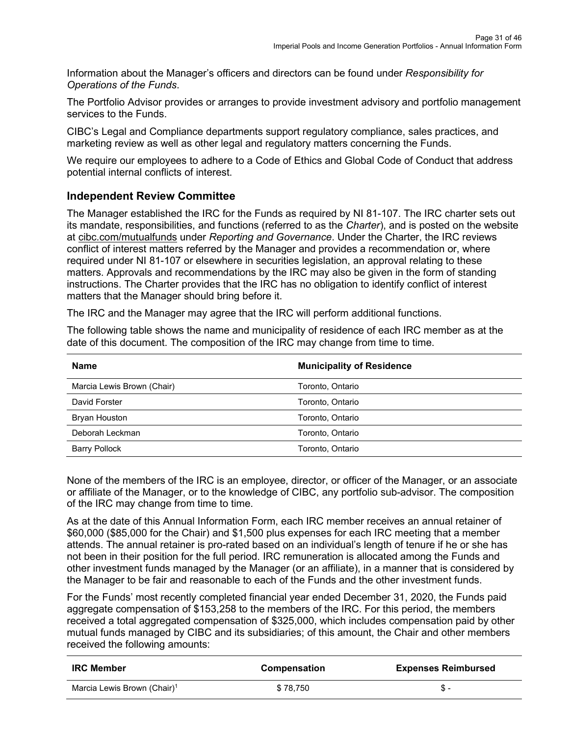Information about the Manager's officers and directors can be found under *Responsibility for Operations of the Funds*.

The Portfolio Advisor provides or arranges to provide investment advisory and portfolio management services to the Funds.

CIBC's Legal and Compliance departments support regulatory compliance, sales practices, and marketing review as well as other legal and regulatory matters concerning the Funds.

We require our employees to adhere to a Code of Ethics and Global Code of Conduct that address potential internal conflicts of interest.

## **Independent Review Committee**

The Manager established the IRC for the Funds as required by NI 81-107. The IRC charter sets out its mandate, responsibilities, and functions (referred to as the *Charter*), and is posted on the website at [cibc.com/mutualfunds](http://www.cibc.com/mutualfunds) under *Reporting and Governance*. Under the Charter, the IRC reviews conflict of interest matters referred by the Manager and provides a recommendation or, where required under NI 81-107 or elsewhere in securities legislation, an approval relating to these matters. Approvals and recommendations by the IRC may also be given in the form of standing instructions. The Charter provides that the IRC has no obligation to identify conflict of interest matters that the Manager should bring before it.

The IRC and the Manager may agree that the IRC will perform additional functions.

The following table shows the name and municipality of residence of each IRC member as at the date of this document. The composition of the IRC may change from time to time.

| <b>Name</b>                | <b>Municipality of Residence</b> |
|----------------------------|----------------------------------|
| Marcia Lewis Brown (Chair) | Toronto, Ontario                 |
| David Forster              | Toronto, Ontario                 |
| <b>Bryan Houston</b>       | Toronto, Ontario                 |
| Deborah Leckman            | Toronto, Ontario                 |
| <b>Barry Pollock</b>       | Toronto, Ontario                 |

None of the members of the IRC is an employee, director, or officer of the Manager, or an associate or affiliate of the Manager, or to the knowledge of CIBC, any portfolio sub-advisor. The composition of the IRC may change from time to time.

As at the date of this Annual Information Form, each IRC member receives an annual retainer of \$60,000 (\$85,000 for the Chair) and \$1,500 plus expenses for each IRC meeting that a member attends. The annual retainer is pro-rated based on an individual's length of tenure if he or she has not been in their position for the full period. IRC remuneration is allocated among the Funds and other investment funds managed by the Manager (or an affiliate), in a manner that is considered by the Manager to be fair and reasonable to each of the Funds and the other investment funds.

For the Funds' most recently completed financial year ended December 31, 2020, the Funds paid aggregate compensation of \$153,258 to the members of the IRC. For this period, the members received a total aggregated compensation of \$325,000, which includes compensation paid by other mutual funds managed by CIBC and its subsidiaries; of this amount, the Chair and other members received the following amounts:

| <b>IRC Member</b>                       | Compensation | <b>Expenses Reimbursed</b> |
|-----------------------------------------|--------------|----------------------------|
| Marcia Lewis Brown (Chair) <sup>1</sup> | \$78.750     | \$-                        |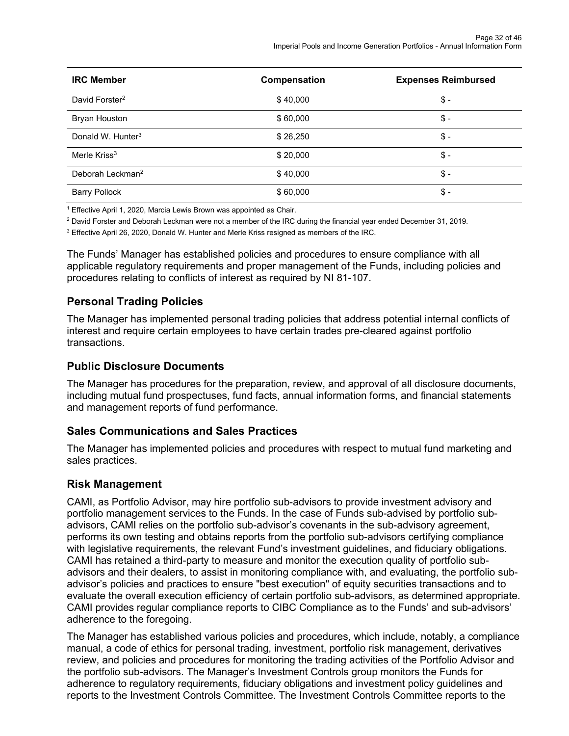| <b>IRC Member</b>             | Compensation | <b>Expenses Reimbursed</b> |
|-------------------------------|--------------|----------------------------|
| David Forster <sup>2</sup>    | \$40,000     | \$ -                       |
| <b>Bryan Houston</b>          | \$60,000     | $$ -$                      |
| Donald W. Hunter <sup>3</sup> | \$26,250     | \$ -                       |
| Merle Kriss $3$               | \$20,000     | $$ -$                      |
| Deborah Leckman <sup>2</sup>  | \$40,000     | \$ -                       |
| <b>Barry Pollock</b>          | \$60,000     | \$ -                       |

<sup>1</sup> Effective April 1, 2020, Marcia Lewis Brown was appointed as Chair.

<sup>2</sup> David Forster and Deborah Leckman were not a member of the IRC during the financial year ended December 31, 2019.

<sup>3</sup> Effective April 26, 2020, Donald W. Hunter and Merle Kriss resigned as members of the IRC.

The Funds' Manager has established policies and procedures to ensure compliance with all applicable regulatory requirements and proper management of the Funds, including policies and procedures relating to conflicts of interest as required by NI 81-107.

## **Personal Trading Policies**

The Manager has implemented personal trading policies that address potential internal conflicts of interest and require certain employees to have certain trades pre-cleared against portfolio transactions.

#### **Public Disclosure Documents**

The Manager has procedures for the preparation, review, and approval of all disclosure documents, including mutual fund prospectuses, fund facts, annual information forms, and financial statements and management reports of fund performance.

#### **Sales Communications and Sales Practices**

The Manager has implemented policies and procedures with respect to mutual fund marketing and sales practices.

#### **Risk Management**

CAMI, as Portfolio Advisor, may hire portfolio sub-advisors to provide investment advisory and portfolio management services to the Funds. In the case of Funds sub-advised by portfolio subadvisors, CAMI relies on the portfolio sub-advisor's covenants in the sub-advisory agreement, performs its own testing and obtains reports from the portfolio sub-advisors certifying compliance with legislative requirements, the relevant Fund's investment guidelines, and fiduciary obligations. CAMI has retained a third-party to measure and monitor the execution quality of portfolio subadvisors and their dealers, to assist in monitoring compliance with, and evaluating, the portfolio subadvisor's policies and practices to ensure "best execution" of equity securities transactions and to evaluate the overall execution efficiency of certain portfolio sub-advisors, as determined appropriate. CAMI provides regular compliance reports to CIBC Compliance as to the Funds' and sub-advisors' adherence to the foregoing.

The Manager has established various policies and procedures, which include, notably, a compliance manual, a code of ethics for personal trading, investment, portfolio risk management, derivatives review, and policies and procedures for monitoring the trading activities of the Portfolio Advisor and the portfolio sub-advisors. The Manager's Investment Controls group monitors the Funds for adherence to regulatory requirements, fiduciary obligations and investment policy guidelines and reports to the Investment Controls Committee. The Investment Controls Committee reports to the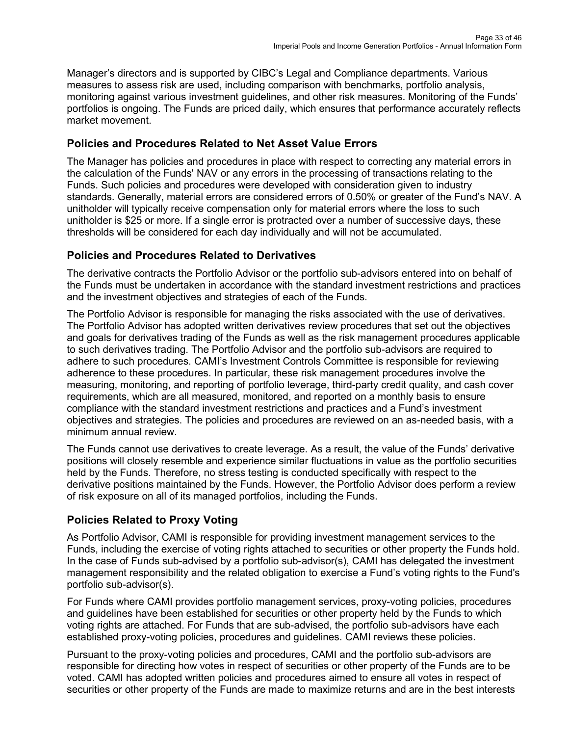Manager's directors and is supported by CIBC's Legal and Compliance departments. Various measures to assess risk are used, including comparison with benchmarks, portfolio analysis, monitoring against various investment guidelines, and other risk measures. Monitoring of the Funds' portfolios is ongoing. The Funds are priced daily, which ensures that performance accurately reflects market movement.

## **Policies and Procedures Related to Net Asset Value Errors**

The Manager has policies and procedures in place with respect to correcting any material errors in the calculation of the Funds' NAV or any errors in the processing of transactions relating to the Funds. Such policies and procedures were developed with consideration given to industry standards. Generally, material errors are considered errors of 0.50% or greater of the Fund's NAV. A unitholder will typically receive compensation only for material errors where the loss to such unitholder is \$25 or more. If a single error is protracted over a number of successive days, these thresholds will be considered for each day individually and will not be accumulated.

## **Policies and Procedures Related to Derivatives**

The derivative contracts the Portfolio Advisor or the portfolio sub-advisors entered into on behalf of the Funds must be undertaken in accordance with the standard investment restrictions and practices and the investment objectives and strategies of each of the Funds.

The Portfolio Advisor is responsible for managing the risks associated with the use of derivatives. The Portfolio Advisor has adopted written derivatives review procedures that set out the objectives and goals for derivatives trading of the Funds as well as the risk management procedures applicable to such derivatives trading. The Portfolio Advisor and the portfolio sub-advisors are required to adhere to such procedures. CAMI's Investment Controls Committee is responsible for reviewing adherence to these procedures. In particular, these risk management procedures involve the measuring, monitoring, and reporting of portfolio leverage, third-party credit quality, and cash cover requirements, which are all measured, monitored, and reported on a monthly basis to ensure compliance with the standard investment restrictions and practices and a Fund's investment objectives and strategies. The policies and procedures are reviewed on an as-needed basis, with a minimum annual review.

The Funds cannot use derivatives to create leverage. As a result, the value of the Funds' derivative positions will closely resemble and experience similar fluctuations in value as the portfolio securities held by the Funds. Therefore, no stress testing is conducted specifically with respect to the derivative positions maintained by the Funds. However, the Portfolio Advisor does perform a review of risk exposure on all of its managed portfolios, including the Funds.

## **Policies Related to Proxy Voting**

As Portfolio Advisor, CAMI is responsible for providing investment management services to the Funds, including the exercise of voting rights attached to securities or other property the Funds hold. In the case of Funds sub-advised by a portfolio sub-advisor(s), CAMI has delegated the investment management responsibility and the related obligation to exercise a Fund's voting rights to the Fund's portfolio sub-advisor(s).

For Funds where CAMI provides portfolio management services, proxy-voting policies, procedures and guidelines have been established for securities or other property held by the Funds to which voting rights are attached. For Funds that are sub-advised, the portfolio sub-advisors have each established proxy-voting policies, procedures and guidelines. CAMI reviews these policies.

Pursuant to the proxy-voting policies and procedures, CAMI and the portfolio sub-advisors are responsible for directing how votes in respect of securities or other property of the Funds are to be voted. CAMI has adopted written policies and procedures aimed to ensure all votes in respect of securities or other property of the Funds are made to maximize returns and are in the best interests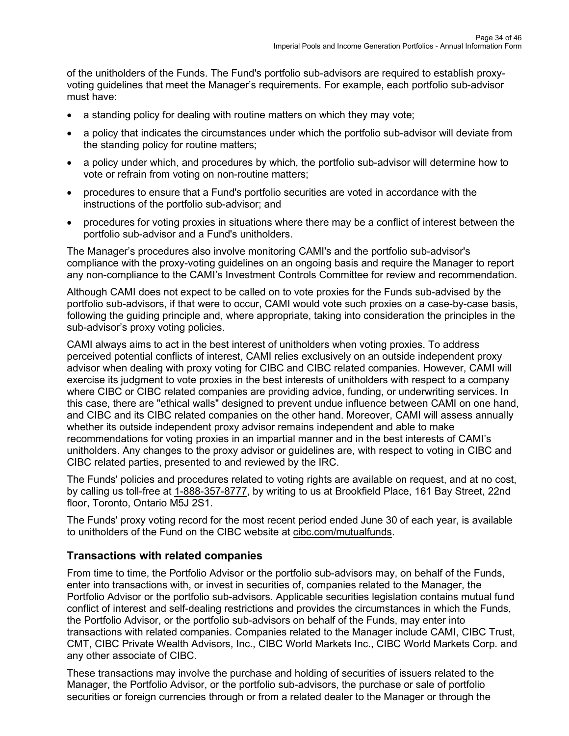of the unitholders of the Funds. The Fund's portfolio sub-advisors are required to establish proxyvoting guidelines that meet the Manager's requirements. For example, each portfolio sub-advisor must have:

- a standing policy for dealing with routine matters on which they may vote;
- a policy that indicates the circumstances under which the portfolio sub-advisor will deviate from the standing policy for routine matters;
- a policy under which, and procedures by which, the portfolio sub-advisor will determine how to vote or refrain from voting on non-routine matters;
- procedures to ensure that a Fund's portfolio securities are voted in accordance with the instructions of the portfolio sub-advisor; and
- procedures for voting proxies in situations where there may be a conflict of interest between the portfolio sub-advisor and a Fund's unitholders.

The Manager's procedures also involve monitoring CAMI's and the portfolio sub-advisor's compliance with the proxy-voting guidelines on an ongoing basis and require the Manager to report any non-compliance to the CAMI's Investment Controls Committee for review and recommendation.

Although CAMI does not expect to be called on to vote proxies for the Funds sub-advised by the portfolio sub-advisors, if that were to occur, CAMI would vote such proxies on a case-by-case basis, following the guiding principle and, where appropriate, taking into consideration the principles in the sub-advisor's proxy voting policies.

CAMI always aims to act in the best interest of unitholders when voting proxies. To address perceived potential conflicts of interest, CAMI relies exclusively on an outside independent proxy advisor when dealing with proxy voting for CIBC and CIBC related companies. However, CAMI will exercise its judgment to vote proxies in the best interests of unitholders with respect to a company where CIBC or CIBC related companies are providing advice, funding, or underwriting services. In this case, there are "ethical walls" designed to prevent undue influence between CAMI on one hand, and CIBC and its CIBC related companies on the other hand. Moreover, CAMI will assess annually whether its outside independent proxy advisor remains independent and able to make recommendations for voting proxies in an impartial manner and in the best interests of CAMI's unitholders. Any changes to the proxy advisor or guidelines are, with respect to voting in CIBC and CIBC related parties, presented to and reviewed by the IRC.

The Funds' policies and procedures related to voting rights are available on request, and at no cost, by calling us toll-free at [1-888-357-8777,](tel:18883578777) by writing to us at Brookfield Place, 161 Bay Street, 22nd floor, Toronto, Ontario M5J 2S1.

The Funds' proxy voting record for the most recent period ended June 30 of each year, is available to unitholders of the Fund on the CIBC website at [cibc.com/mutualfunds.](http://www.cibc.com/mutualfunds)

## **Transactions with related companies**

From time to time, the Portfolio Advisor or the portfolio sub-advisors may, on behalf of the Funds, enter into transactions with, or invest in securities of, companies related to the Manager, the Portfolio Advisor or the portfolio sub-advisors. Applicable securities legislation contains mutual fund conflict of interest and self-dealing restrictions and provides the circumstances in which the Funds, the Portfolio Advisor, or the portfolio sub-advisors on behalf of the Funds, may enter into transactions with related companies. Companies related to the Manager include CAMI, CIBC Trust, CMT, CIBC Private Wealth Advisors, Inc., CIBC World Markets Inc., CIBC World Markets Corp. and any other associate of CIBC.

These transactions may involve the purchase and holding of securities of issuers related to the Manager, the Portfolio Advisor, or the portfolio sub-advisors, the purchase or sale of portfolio securities or foreign currencies through or from a related dealer to the Manager or through the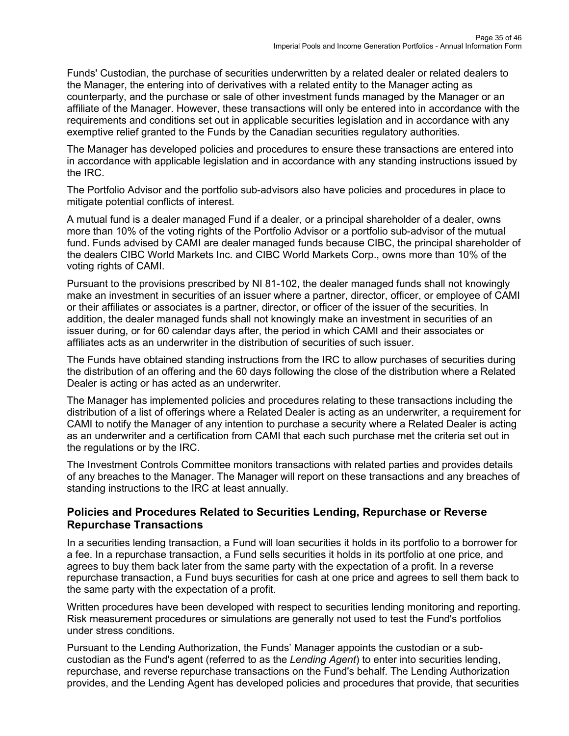Funds' Custodian, the purchase of securities underwritten by a related dealer or related dealers to the Manager, the entering into of derivatives with a related entity to the Manager acting as counterparty, and the purchase or sale of other investment funds managed by the Manager or an affiliate of the Manager. However, these transactions will only be entered into in accordance with the requirements and conditions set out in applicable securities legislation and in accordance with any exemptive relief granted to the Funds by the Canadian securities regulatory authorities.

The Manager has developed policies and procedures to ensure these transactions are entered into in accordance with applicable legislation and in accordance with any standing instructions issued by the IRC.

The Portfolio Advisor and the portfolio sub-advisors also have policies and procedures in place to mitigate potential conflicts of interest.

A mutual fund is a dealer managed Fund if a dealer, or a principal shareholder of a dealer, owns more than 10% of the voting rights of the Portfolio Advisor or a portfolio sub-advisor of the mutual fund. Funds advised by CAMI are dealer managed funds because CIBC, the principal shareholder of the dealers CIBC World Markets Inc. and CIBC World Markets Corp., owns more than 10% of the voting rights of CAMI.

Pursuant to the provisions prescribed by NI 81-102, the dealer managed funds shall not knowingly make an investment in securities of an issuer where a partner, director, officer, or employee of CAMI or their affiliates or associates is a partner, director, or officer of the issuer of the securities. In addition, the dealer managed funds shall not knowingly make an investment in securities of an issuer during, or for 60 calendar days after, the period in which CAMI and their associates or affiliates acts as an underwriter in the distribution of securities of such issuer.

The Funds have obtained standing instructions from the IRC to allow purchases of securities during the distribution of an offering and the 60 days following the close of the distribution where a Related Dealer is acting or has acted as an underwriter.

The Manager has implemented policies and procedures relating to these transactions including the distribution of a list of offerings where a Related Dealer is acting as an underwriter, a requirement for CAMI to notify the Manager of any intention to purchase a security where a Related Dealer is acting as an underwriter and a certification from CAMI that each such purchase met the criteria set out in the regulations or by the IRC.

The Investment Controls Committee monitors transactions with related parties and provides details of any breaches to the Manager. The Manager will report on these transactions and any breaches of standing instructions to the IRC at least annually.

## **Policies and Procedures Related to Securities Lending, Repurchase or Reverse Repurchase Transactions**

In a securities lending transaction, a Fund will loan securities it holds in its portfolio to a borrower for a fee. In a repurchase transaction, a Fund sells securities it holds in its portfolio at one price, and agrees to buy them back later from the same party with the expectation of a profit. In a reverse repurchase transaction, a Fund buys securities for cash at one price and agrees to sell them back to the same party with the expectation of a profit.

Written procedures have been developed with respect to securities lending monitoring and reporting. Risk measurement procedures or simulations are generally not used to test the Fund's portfolios under stress conditions.

Pursuant to the Lending Authorization, the Funds' Manager appoints the custodian or a subcustodian as the Fund's agent (referred to as the *Lending Agent*) to enter into securities lending, repurchase, and reverse repurchase transactions on the Fund's behalf. The Lending Authorization provides, and the Lending Agent has developed policies and procedures that provide, that securities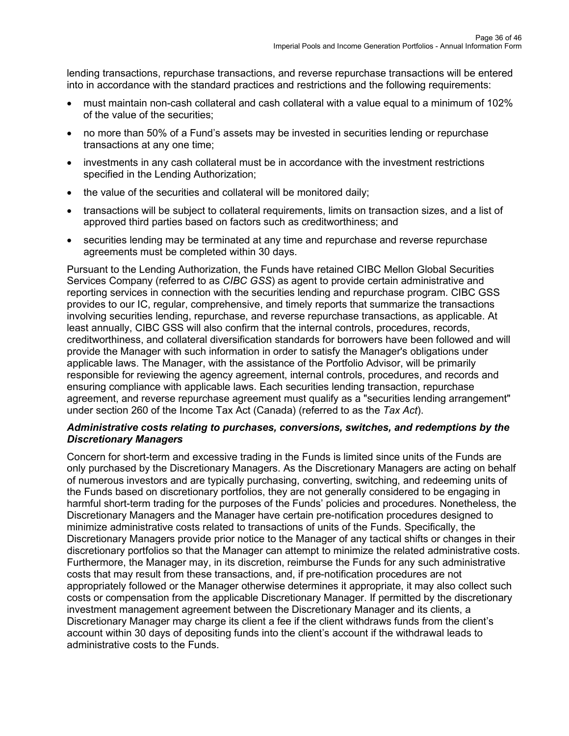lending transactions, repurchase transactions, and reverse repurchase transactions will be entered into in accordance with the standard practices and restrictions and the following requirements:

- must maintain non-cash collateral and cash collateral with a value equal to a minimum of 102% of the value of the securities;
- no more than 50% of a Fund's assets may be invested in securities lending or repurchase transactions at any one time;
- investments in any cash collateral must be in accordance with the investment restrictions specified in the Lending Authorization;
- the value of the securities and collateral will be monitored daily;
- transactions will be subject to collateral requirements, limits on transaction sizes, and a list of approved third parties based on factors such as creditworthiness; and
- securities lending may be terminated at any time and repurchase and reverse repurchase agreements must be completed within 30 days.

Pursuant to the Lending Authorization, the Funds have retained CIBC Mellon Global Securities Services Company (referred to as *CIBC GSS*) as agent to provide certain administrative and reporting services in connection with the securities lending and repurchase program. CIBC GSS provides to our IC, regular, comprehensive, and timely reports that summarize the transactions involving securities lending, repurchase, and reverse repurchase transactions, as applicable. At least annually, CIBC GSS will also confirm that the internal controls, procedures, records, creditworthiness, and collateral diversification standards for borrowers have been followed and will provide the Manager with such information in order to satisfy the Manager's obligations under applicable laws. The Manager, with the assistance of the Portfolio Advisor, will be primarily responsible for reviewing the agency agreement, internal controls, procedures, and records and ensuring compliance with applicable laws. Each securities lending transaction, repurchase agreement, and reverse repurchase agreement must qualify as a "securities lending arrangement" under section 260 of the Income Tax Act (Canada) (referred to as the *Tax Act*).

#### *Administrative costs relating to purchases, conversions, switches, and redemptions by the Discretionary Managers*

Concern for short-term and excessive trading in the Funds is limited since units of the Funds are only purchased by the Discretionary Managers. As the Discretionary Managers are acting on behalf of numerous investors and are typically purchasing, converting, switching, and redeeming units of the Funds based on discretionary portfolios, they are not generally considered to be engaging in harmful short-term trading for the purposes of the Funds' policies and procedures. Nonetheless, the Discretionary Managers and the Manager have certain pre-notification procedures designed to minimize administrative costs related to transactions of units of the Funds. Specifically, the Discretionary Managers provide prior notice to the Manager of any tactical shifts or changes in their discretionary portfolios so that the Manager can attempt to minimize the related administrative costs. Furthermore, the Manager may, in its discretion, reimburse the Funds for any such administrative costs that may result from these transactions, and, if pre-notification procedures are not appropriately followed or the Manager otherwise determines it appropriate, it may also collect such costs or compensation from the applicable Discretionary Manager. If permitted by the discretionary investment management agreement between the Discretionary Manager and its clients, a Discretionary Manager may charge its client a fee if the client withdraws funds from the client's account within 30 days of depositing funds into the client's account if the withdrawal leads to administrative costs to the Funds.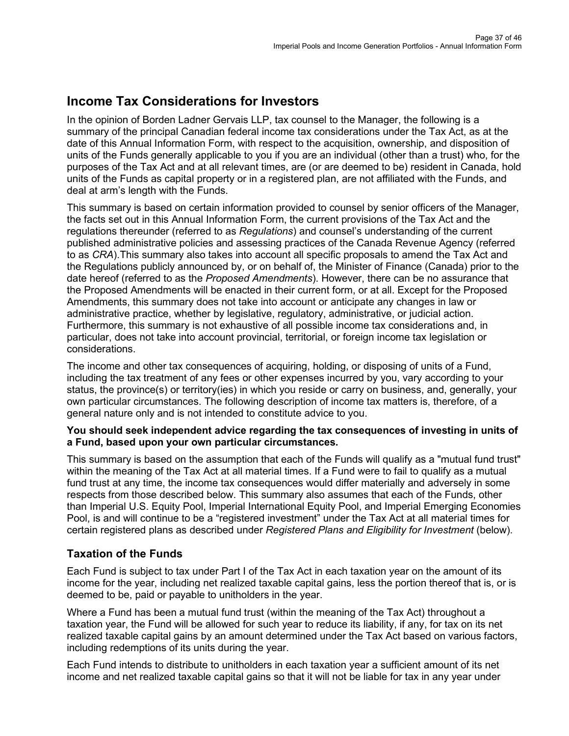# <span id="page-36-0"></span>**Income Tax Considerations for Investors**

In the opinion of Borden Ladner Gervais LLP, tax counsel to the Manager, the following is a summary of the principal Canadian federal income tax considerations under the Tax Act, as at the date of this Annual Information Form, with respect to the acquisition, ownership, and disposition of units of the Funds generally applicable to you if you are an individual (other than a trust) who, for the purposes of the Tax Act and at all relevant times, are (or are deemed to be) resident in Canada, hold units of the Funds as capital property or in a registered plan, are not affiliated with the Funds, and deal at arm's length with the Funds.

This summary is based on certain information provided to counsel by senior officers of the Manager, the facts set out in this Annual Information Form, the current provisions of the Tax Act and the regulations thereunder (referred to as *Regulations*) and counsel's understanding of the current published administrative policies and assessing practices of the Canada Revenue Agency (referred to as *CRA*).This summary also takes into account all specific proposals to amend the Tax Act and the Regulations publicly announced by, or on behalf of, the Minister of Finance (Canada) prior to the date hereof (referred to as the *Proposed Amendments*). However, there can be no assurance that the Proposed Amendments will be enacted in their current form, or at all. Except for the Proposed Amendments, this summary does not take into account or anticipate any changes in law or administrative practice, whether by legislative, regulatory, administrative, or judicial action. Furthermore, this summary is not exhaustive of all possible income tax considerations and, in particular, does not take into account provincial, territorial, or foreign income tax legislation or considerations.

The income and other tax consequences of acquiring, holding, or disposing of units of a Fund, including the tax treatment of any fees or other expenses incurred by you, vary according to your status, the province(s) or territory(ies) in which you reside or carry on business, and, generally, your own particular circumstances. The following description of income tax matters is, therefore, of a general nature only and is not intended to constitute advice to you.

#### **You should seek independent advice regarding the tax consequences of investing in units of a Fund, based upon your own particular circumstances.**

This summary is based on the assumption that each of the Funds will qualify as a "mutual fund trust" within the meaning of the Tax Act at all material times. If a Fund were to fail to qualify as a mutual fund trust at any time, the income tax consequences would differ materially and adversely in some respects from those described below. This summary also assumes that each of the Funds, other than Imperial U.S. Equity Pool, Imperial International Equity Pool, and Imperial Emerging Economies Pool, is and will continue to be a "registered investment" under the Tax Act at all material times for certain registered plans as described under *Registered Plans and Eligibility for Investment* (below).

## **Taxation of the Funds**

Each Fund is subject to tax under Part I of the Tax Act in each taxation year on the amount of its income for the year, including net realized taxable capital gains, less the portion thereof that is, or is deemed to be, paid or payable to unitholders in the year.

Where a Fund has been a mutual fund trust (within the meaning of the Tax Act) throughout a taxation year, the Fund will be allowed for such year to reduce its liability, if any, for tax on its net realized taxable capital gains by an amount determined under the Tax Act based on various factors, including redemptions of its units during the year.

Each Fund intends to distribute to unitholders in each taxation year a sufficient amount of its net income and net realized taxable capital gains so that it will not be liable for tax in any year under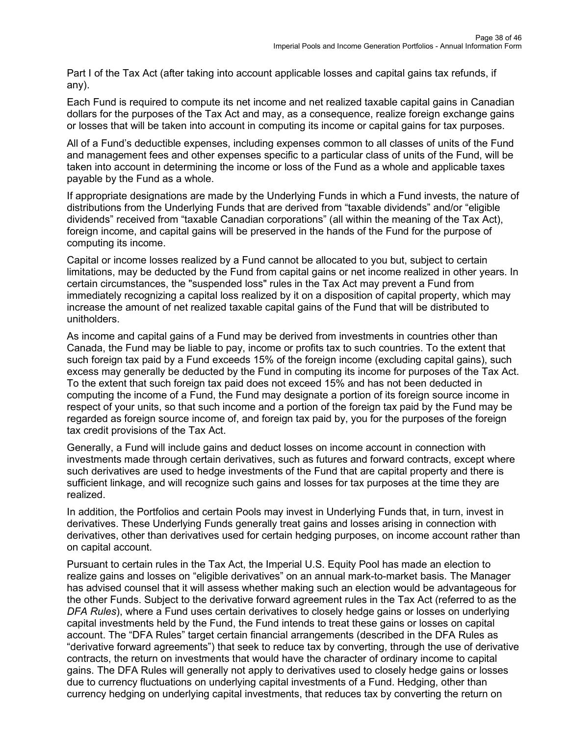Part I of the Tax Act (after taking into account applicable losses and capital gains tax refunds, if any).

Each Fund is required to compute its net income and net realized taxable capital gains in Canadian dollars for the purposes of the Tax Act and may, as a consequence, realize foreign exchange gains or losses that will be taken into account in computing its income or capital gains for tax purposes.

All of a Fund's deductible expenses, including expenses common to all classes of units of the Fund and management fees and other expenses specific to a particular class of units of the Fund, will be taken into account in determining the income or loss of the Fund as a whole and applicable taxes payable by the Fund as a whole.

If appropriate designations are made by the Underlying Funds in which a Fund invests, the nature of distributions from the Underlying Funds that are derived from "taxable dividends" and/or "eligible dividends" received from "taxable Canadian corporations" (all within the meaning of the Tax Act), foreign income, and capital gains will be preserved in the hands of the Fund for the purpose of computing its income.

Capital or income losses realized by a Fund cannot be allocated to you but, subject to certain limitations, may be deducted by the Fund from capital gains or net income realized in other years. In certain circumstances, the "suspended loss" rules in the Tax Act may prevent a Fund from immediately recognizing a capital loss realized by it on a disposition of capital property, which may increase the amount of net realized taxable capital gains of the Fund that will be distributed to unitholders.

As income and capital gains of a Fund may be derived from investments in countries other than Canada, the Fund may be liable to pay, income or profits tax to such countries. To the extent that such foreign tax paid by a Fund exceeds 15% of the foreign income (excluding capital gains), such excess may generally be deducted by the Fund in computing its income for purposes of the Tax Act. To the extent that such foreign tax paid does not exceed 15% and has not been deducted in computing the income of a Fund, the Fund may designate a portion of its foreign source income in respect of your units, so that such income and a portion of the foreign tax paid by the Fund may be regarded as foreign source income of, and foreign tax paid by, you for the purposes of the foreign tax credit provisions of the Tax Act.

Generally, a Fund will include gains and deduct losses on income account in connection with investments made through certain derivatives, such as futures and forward contracts, except where such derivatives are used to hedge investments of the Fund that are capital property and there is sufficient linkage, and will recognize such gains and losses for tax purposes at the time they are realized.

In addition, the Portfolios and certain Pools may invest in Underlying Funds that, in turn, invest in derivatives. These Underlying Funds generally treat gains and losses arising in connection with derivatives, other than derivatives used for certain hedging purposes, on income account rather than on capital account.

Pursuant to certain rules in the Tax Act, the Imperial U.S. Equity Pool has made an election to realize gains and losses on "eligible derivatives" on an annual mark-to-market basis. The Manager has advised counsel that it will assess whether making such an election would be advantageous for the other Funds. Subject to the derivative forward agreement rules in the Tax Act (referred to as the *DFA Rules*), where a Fund uses certain derivatives to closely hedge gains or losses on underlying capital investments held by the Fund, the Fund intends to treat these gains or losses on capital account. The "DFA Rules" target certain financial arrangements (described in the DFA Rules as "derivative forward agreements") that seek to reduce tax by converting, through the use of derivative contracts, the return on investments that would have the character of ordinary income to capital gains. The DFA Rules will generally not apply to derivatives used to closely hedge gains or losses due to currency fluctuations on underlying capital investments of a Fund. Hedging, other than currency hedging on underlying capital investments, that reduces tax by converting the return on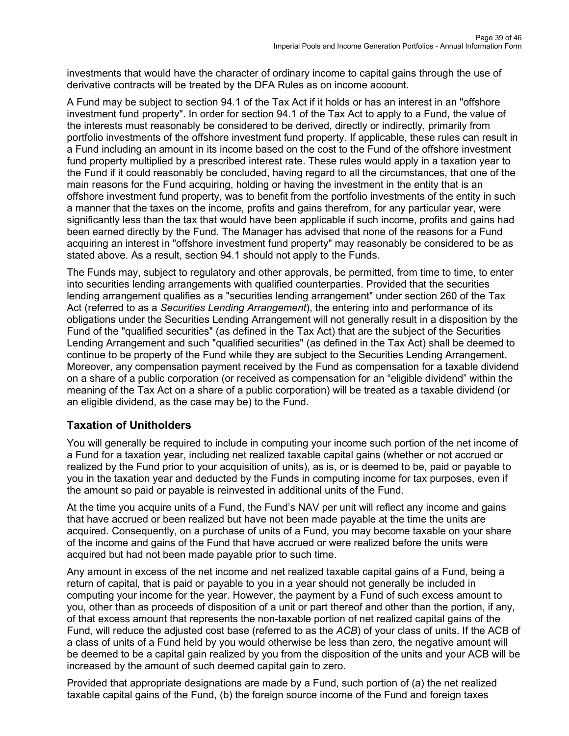investments that would have the character of ordinary income to capital gains through the use of derivative contracts will be treated by the DFA Rules as on income account.

A Fund may be subject to section 94.1 of the Tax Act if it holds or has an interest in an "offshore investment fund property". In order for section 94.1 of the Tax Act to apply to a Fund, the value of the interests must reasonably be considered to be derived, directly or indirectly, primarily from portfolio investments of the offshore investment fund property. If applicable, these rules can result in a Fund including an amount in its income based on the cost to the Fund of the offshore investment fund property multiplied by a prescribed interest rate. These rules would apply in a taxation year to the Fund if it could reasonably be concluded, having regard to all the circumstances, that one of the main reasons for the Fund acquiring, holding or having the investment in the entity that is an offshore investment fund property, was to benefit from the portfolio investments of the entity in such a manner that the taxes on the income, profits and gains therefrom, for any particular year, were significantly less than the tax that would have been applicable if such income, profits and gains had been earned directly by the Fund. The Manager has advised that none of the reasons for a Fund acquiring an interest in "offshore investment fund property" may reasonably be considered to be as stated above. As a result, section 94.1 should not apply to the Funds.

The Funds may, subject to regulatory and other approvals, be permitted, from time to time, to enter into securities lending arrangements with qualified counterparties. Provided that the securities lending arrangement qualifies as a "securities lending arrangement" under section 260 of the Tax Act (referred to as a *Securities Lending Arrangement*), the entering into and performance of its obligations under the Securities Lending Arrangement will not generally result in a disposition by the Fund of the "qualified securities" (as defined in the Tax Act) that are the subject of the Securities Lending Arrangement and such "qualified securities" (as defined in the Tax Act) shall be deemed to continue to be property of the Fund while they are subject to the Securities Lending Arrangement. Moreover, any compensation payment received by the Fund as compensation for a taxable dividend on a share of a public corporation (or received as compensation for an "eligible dividend" within the meaning of the Tax Act on a share of a public corporation) will be treated as a taxable dividend (or an eligible dividend, as the case may be) to the Fund.

## **Taxation of Unitholders**

You will generally be required to include in computing your income such portion of the net income of a Fund for a taxation year, including net realized taxable capital gains (whether or not accrued or realized by the Fund prior to your acquisition of units), as is, or is deemed to be, paid or payable to you in the taxation year and deducted by the Funds in computing income for tax purposes, even if the amount so paid or payable is reinvested in additional units of the Fund.

At the time you acquire units of a Fund, the Fund's NAV per unit will reflect any income and gains that have accrued or been realized but have not been made payable at the time the units are acquired. Consequently, on a purchase of units of a Fund, you may become taxable on your share of the income and gains of the Fund that have accrued or were realized before the units were acquired but had not been made payable prior to such time.

Any amount in excess of the net income and net realized taxable capital gains of a Fund, being a return of capital, that is paid or payable to you in a year should not generally be included in computing your income for the year. However, the payment by a Fund of such excess amount to you, other than as proceeds of disposition of a unit or part thereof and other than the portion, if any, of that excess amount that represents the non-taxable portion of net realized capital gains of the Fund, will reduce the adjusted cost base (referred to as the *ACB*) of your class of units. If the ACB of a class of units of a Fund held by you would otherwise be less than zero, the negative amount will be deemed to be a capital gain realized by you from the disposition of the units and your ACB will be increased by the amount of such deemed capital gain to zero.

Provided that appropriate designations are made by a Fund, such portion of (a) the net realized taxable capital gains of the Fund, (b) the foreign source income of the Fund and foreign taxes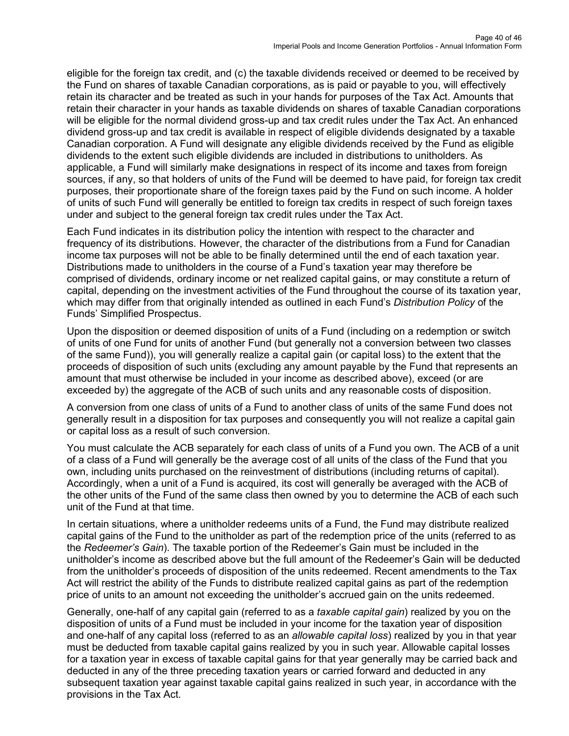eligible for the foreign tax credit, and (c) the taxable dividends received or deemed to be received by the Fund on shares of taxable Canadian corporations, as is paid or payable to you, will effectively retain its character and be treated as such in your hands for purposes of the Tax Act. Amounts that retain their character in your hands as taxable dividends on shares of taxable Canadian corporations will be eligible for the normal dividend gross-up and tax credit rules under the Tax Act. An enhanced dividend gross-up and tax credit is available in respect of eligible dividends designated by a taxable Canadian corporation. A Fund will designate any eligible dividends received by the Fund as eligible dividends to the extent such eligible dividends are included in distributions to unitholders. As applicable, a Fund will similarly make designations in respect of its income and taxes from foreign sources, if any, so that holders of units of the Fund will be deemed to have paid, for foreign tax credit purposes, their proportionate share of the foreign taxes paid by the Fund on such income. A holder of units of such Fund will generally be entitled to foreign tax credits in respect of such foreign taxes under and subject to the general foreign tax credit rules under the Tax Act.

Each Fund indicates in its distribution policy the intention with respect to the character and frequency of its distributions. However, the character of the distributions from a Fund for Canadian income tax purposes will not be able to be finally determined until the end of each taxation year. Distributions made to unitholders in the course of a Fund's taxation year may therefore be comprised of dividends, ordinary income or net realized capital gains, or may constitute a return of capital, depending on the investment activities of the Fund throughout the course of its taxation year, which may differ from that originally intended as outlined in each Fund's *Distribution Policy* of the Funds' Simplified Prospectus.

Upon the disposition or deemed disposition of units of a Fund (including on a redemption or switch of units of one Fund for units of another Fund (but generally not a conversion between two classes of the same Fund)), you will generally realize a capital gain (or capital loss) to the extent that the proceeds of disposition of such units (excluding any amount payable by the Fund that represents an amount that must otherwise be included in your income as described above), exceed (or are exceeded by) the aggregate of the ACB of such units and any reasonable costs of disposition.

A conversion from one class of units of a Fund to another class of units of the same Fund does not generally result in a disposition for tax purposes and consequently you will not realize a capital gain or capital loss as a result of such conversion.

You must calculate the ACB separately for each class of units of a Fund you own. The ACB of a unit of a class of a Fund will generally be the average cost of all units of the class of the Fund that you own, including units purchased on the reinvestment of distributions (including returns of capital). Accordingly, when a unit of a Fund is acquired, its cost will generally be averaged with the ACB of the other units of the Fund of the same class then owned by you to determine the ACB of each such unit of the Fund at that time.

In certain situations, where a unitholder redeems units of a Fund, the Fund may distribute realized capital gains of the Fund to the unitholder as part of the redemption price of the units (referred to as the *Redeemer's Gain*). The taxable portion of the Redeemer's Gain must be included in the unitholder's income as described above but the full amount of the Redeemer's Gain will be deducted from the unitholder's proceeds of disposition of the units redeemed. Recent amendments to the Tax Act will restrict the ability of the Funds to distribute realized capital gains as part of the redemption price of units to an amount not exceeding the unitholder's accrued gain on the units redeemed.

Generally, one-half of any capital gain (referred to as a *taxable capital gain*) realized by you on the disposition of units of a Fund must be included in your income for the taxation year of disposition and one-half of any capital loss (referred to as an *allowable capital loss*) realized by you in that year must be deducted from taxable capital gains realized by you in such year. Allowable capital losses for a taxation year in excess of taxable capital gains for that year generally may be carried back and deducted in any of the three preceding taxation years or carried forward and deducted in any subsequent taxation year against taxable capital gains realized in such year, in accordance with the provisions in the Tax Act.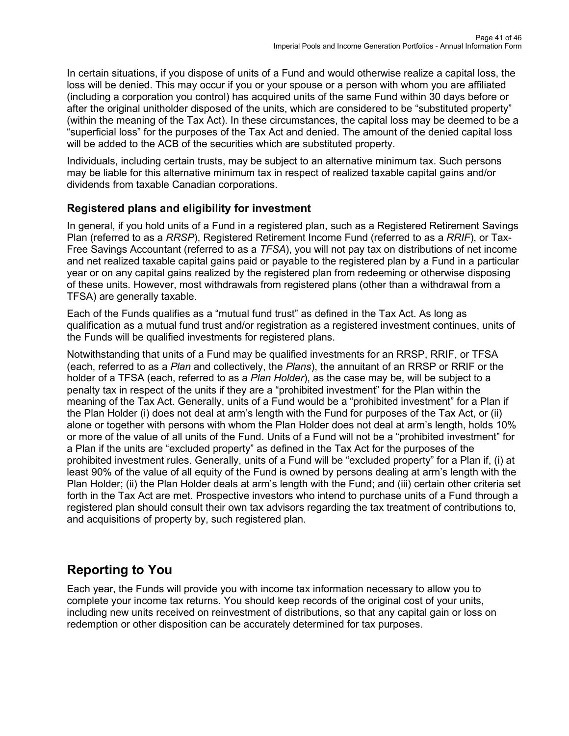In certain situations, if you dispose of units of a Fund and would otherwise realize a capital loss, the loss will be denied. This may occur if you or your spouse or a person with whom you are affiliated (including a corporation you control) has acquired units of the same Fund within 30 days before or after the original unitholder disposed of the units, which are considered to be "substituted property" (within the meaning of the Tax Act). In these circumstances, the capital loss may be deemed to be a "superficial loss" for the purposes of the Tax Act and denied. The amount of the denied capital loss will be added to the ACB of the securities which are substituted property.

Individuals, including certain trusts, may be subject to an alternative minimum tax. Such persons may be liable for this alternative minimum tax in respect of realized taxable capital gains and/or dividends from taxable Canadian corporations.

## **Registered plans and eligibility for investment**

In general, if you hold units of a Fund in a registered plan, such as a Registered Retirement Savings Plan (referred to as a *RRSP*), Registered Retirement Income Fund (referred to as a *RRIF*), or Tax-Free Savings Accountant (referred to as a *TFSA*), you will not pay tax on distributions of net income and net realized taxable capital gains paid or payable to the registered plan by a Fund in a particular year or on any capital gains realized by the registered plan from redeeming or otherwise disposing of these units. However, most withdrawals from registered plans (other than a withdrawal from a TFSA) are generally taxable.

Each of the Funds qualifies as a "mutual fund trust" as defined in the Tax Act. As long as qualification as a mutual fund trust and/or registration as a registered investment continues, units of the Funds will be qualified investments for registered plans.

Notwithstanding that units of a Fund may be qualified investments for an RRSP, RRIF, or TFSA (each, referred to as a *Plan* and collectively, the *Plans*), the annuitant of an RRSP or RRIF or the holder of a TFSA (each, referred to as a *Plan Holder*), as the case may be, will be subject to a penalty tax in respect of the units if they are a "prohibited investment" for the Plan within the meaning of the Tax Act. Generally, units of a Fund would be a "prohibited investment" for a Plan if the Plan Holder (i) does not deal at arm's length with the Fund for purposes of the Tax Act, or (ii) alone or together with persons with whom the Plan Holder does not deal at arm's length, holds 10% or more of the value of all units of the Fund. Units of a Fund will not be a "prohibited investment" for a Plan if the units are "excluded property" as defined in the Tax Act for the purposes of the prohibited investment rules. Generally, units of a Fund will be "excluded property" for a Plan if, (i) at least 90% of the value of all equity of the Fund is owned by persons dealing at arm's length with the Plan Holder; (ii) the Plan Holder deals at arm's length with the Fund; and (iii) certain other criteria set forth in the Tax Act are met. Prospective investors who intend to purchase units of a Fund through a registered plan should consult their own tax advisors regarding the tax treatment of contributions to, and acquisitions of property by, such registered plan.

## <span id="page-40-0"></span>**Reporting to You**

Each year, the Funds will provide you with income tax information necessary to allow you to complete your income tax returns. You should keep records of the original cost of your units, including new units received on reinvestment of distributions, so that any capital gain or loss on redemption or other disposition can be accurately determined for tax purposes.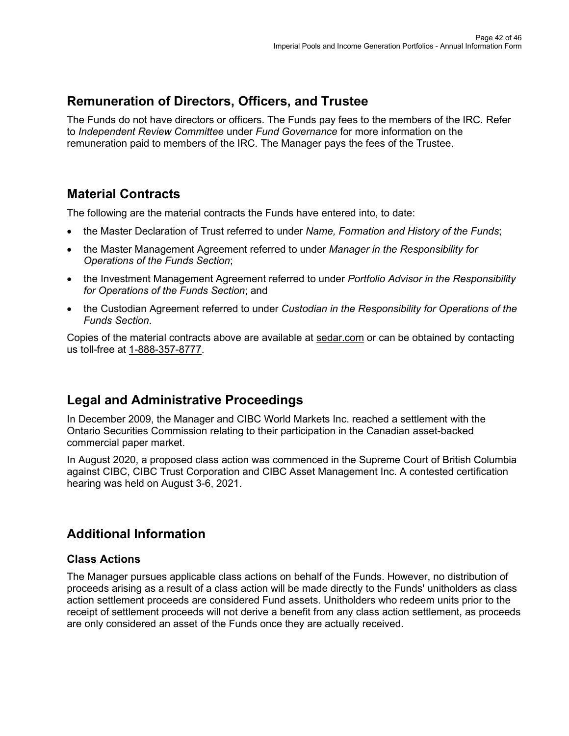## <span id="page-41-0"></span>**Remuneration of Directors, Officers, and Trustee**

The Funds do not have directors or officers. The Funds pay fees to the members of the IRC. Refer to *Independent Review Committee* under *Fund Governance* for more information on the remuneration paid to members of the IRC. The Manager pays the fees of the Trustee.

## <span id="page-41-1"></span>**Material Contracts**

The following are the material contracts the Funds have entered into, to date:

- the Master Declaration of Trust referred to under *Name, Formation and History of the Funds*;
- the Master Management Agreement referred to under *Manager in the Responsibility for Operations of the Funds Section*;
- the Investment Management Agreement referred to under *Portfolio Advisor in the Responsibility for Operations of the Funds Section*; and
- the Custodian Agreement referred to under *Custodian in the Responsibility for Operations of the Funds Section*.

Copies of the material contracts above are available at [sedar.com](http://www.sedar.com/) or can be obtained by contacting us toll-free at [1-888-357-8777.](tel:18883578777)

## <span id="page-41-2"></span>**Legal and Administrative Proceedings**

In December 2009, the Manager and CIBC World Markets Inc. reached a settlement with the Ontario Securities Commission relating to their participation in the Canadian asset-backed commercial paper market.

In August 2020, a proposed class action was commenced in the Supreme Court of British Columbia against CIBC, CIBC Trust Corporation and CIBC Asset Management Inc. A contested certification hearing was held on August 3-6, 2021.

## <span id="page-41-3"></span>**Additional Information**

## **Class Actions**

The Manager pursues applicable class actions on behalf of the Funds. However, no distribution of proceeds arising as a result of a class action will be made directly to the Funds' unitholders as class action settlement proceeds are considered Fund assets. Unitholders who redeem units prior to the receipt of settlement proceeds will not derive a benefit from any class action settlement, as proceeds are only considered an asset of the Funds once they are actually received.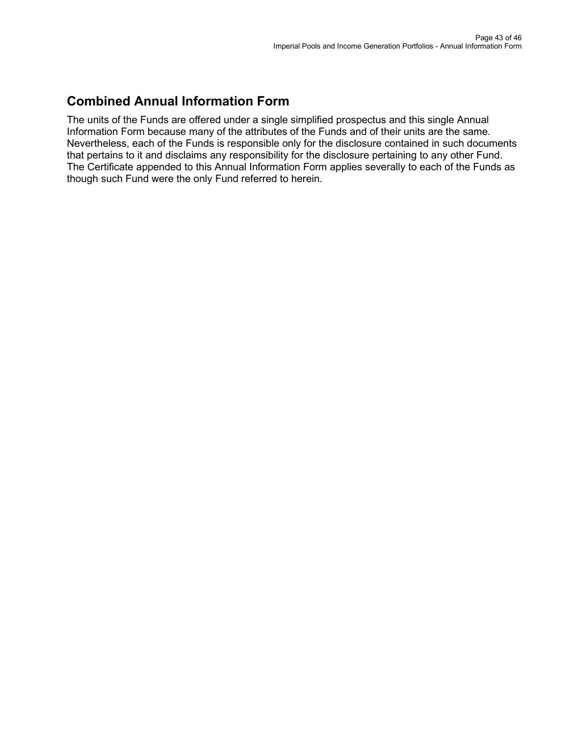# <span id="page-42-0"></span>**Combined Annual Information Form**

The units of the Funds are offered under a single simplified prospectus and this single Annual Information Form because many of the attributes of the Funds and of their units are the same. Nevertheless, each of the Funds is responsible only for the disclosure contained in such documents that pertains to it and disclaims any responsibility for the disclosure pertaining to any other Fund. The Certificate appended to this Annual Information Form applies severally to each of the Funds as though such Fund were the only Fund referred to herein.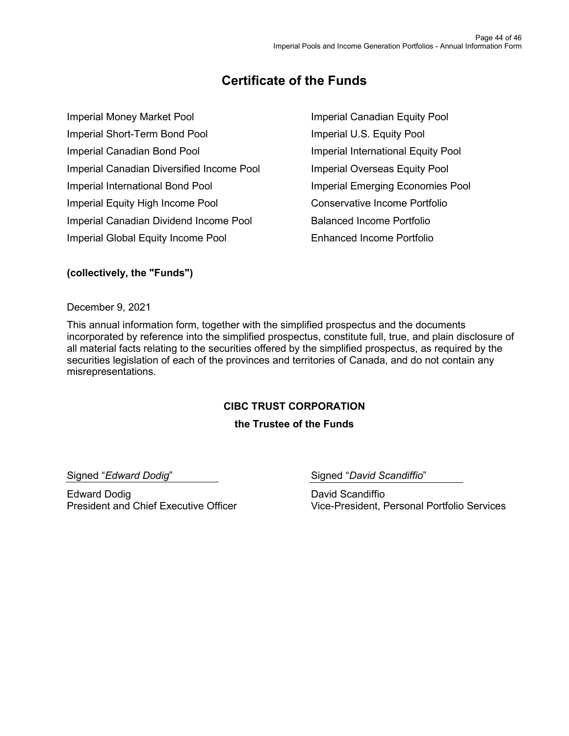# **Certificate of the Funds**

- <span id="page-43-0"></span>Imperial Money Market Pool Imperial Short-Term Bond Pool Imperial Canadian Bond Pool Imperial Canadian Diversified Income Pool Imperial International Bond Pool Imperial Equity High Income Pool Imperial Canadian Dividend Income Pool Imperial Global Equity Income Pool
- Imperial Canadian Equity Pool Imperial U.S. Equity Pool Imperial International Equity Pool Imperial Overseas Equity Pool Imperial Emerging Economies Pool Conservative Income Portfolio Balanced Income Portfolio Enhanced Income Portfolio

## **(collectively, the "Funds")**

December 9, 2021

This annual information form, together with the simplified prospectus and the documents incorporated by reference into the simplified prospectus, constitute full, true, and plain disclosure of all material facts relating to the securities offered by the simplified prospectus, as required by the securities legislation of each of the provinces and territories of Canada, and do not contain any misrepresentations.

## **CIBC TRUST CORPORATION**

## **the Trustee of the Funds**

Signed "*Edward Dodig*"

Edward Dodig President and Chief Executive Officer Signed "*David Scandiffio*"

David Scandiffio Vice-President, Personal Portfolio Services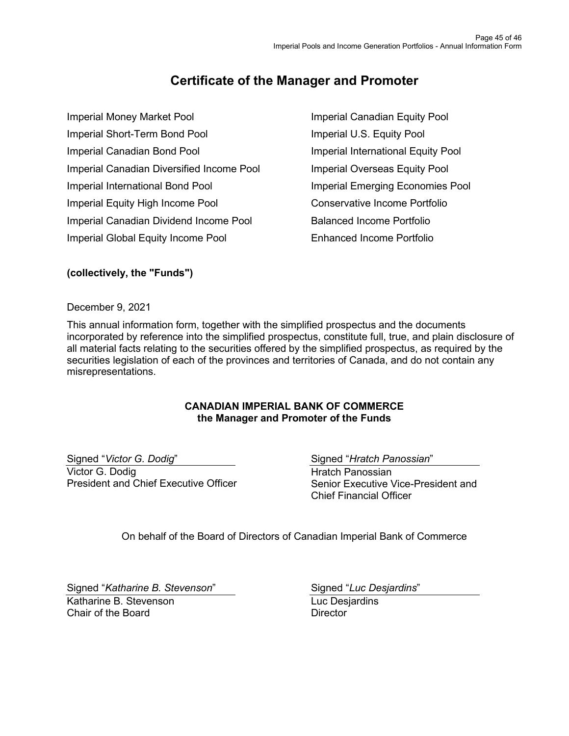# **Certificate of the Manager and Promoter**

- <span id="page-44-0"></span>Imperial Money Market Pool Imperial Short-Term Bond Pool Imperial Canadian Bond Pool Imperial Canadian Diversified Income Pool Imperial International Bond Pool Imperial Equity High Income Pool Imperial Canadian Dividend Income Pool Imperial Global Equity Income Pool
- Imperial Canadian Equity Pool Imperial U.S. Equity Pool Imperial International Equity Pool Imperial Overseas Equity Pool Imperial Emerging Economies Pool Conservative Income Portfolio Balanced Income Portfolio Enhanced Income Portfolio

## **(collectively, the "Funds")**

December 9, 2021

This annual information form, together with the simplified prospectus and the documents incorporated by reference into the simplified prospectus, constitute full, true, and plain disclosure of all material facts relating to the securities offered by the simplified prospectus, as required by the securities legislation of each of the provinces and territories of Canada, and do not contain any misrepresentations.

#### **CANADIAN IMPERIAL BANK OF COMMERCE the Manager and Promoter of the Funds**

Signed "*Victor G. Dodig*" Victor G. Dodig President and Chief Executive Officer Signed "*Hratch Panossian*"

Hratch Panossian Senior Executive Vice-President and Chief Financial Officer

On behalf of the Board of Directors of Canadian Imperial Bank of Commerce

Signed "*Katharine B. Stevenson*"

Katharine B. Stevenson Chair of the Board

Signed "*Luc Desjardins*"

Luc Desjardins **Director**